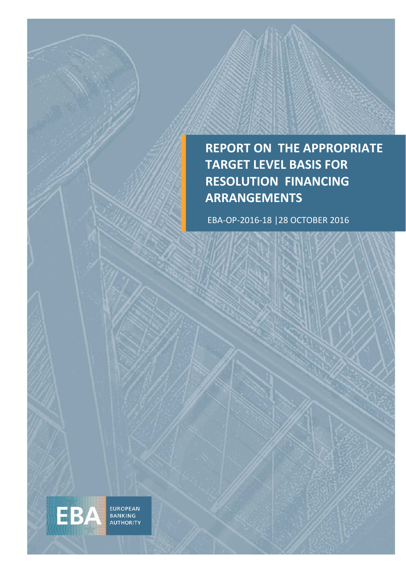## **REPORT ON THE APPROPRIATE TARGET LEVEL BASIS FOR RESOLUTION FINANCING ARRANGEMENTS**

EBA-OP-2016-18 |28 OCTOBER 2016

EUROPEAN<br>BANKING<br>AUTHORITY

EBA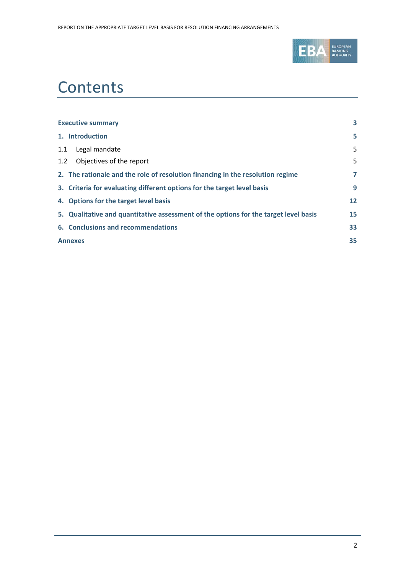

# **Contents**

| <b>Executive summary</b>                                                             | 3              |
|--------------------------------------------------------------------------------------|----------------|
| 1. Introduction                                                                      | 5              |
| Legal mandate<br>1.1                                                                 | 5              |
| Objectives of the report<br>1.2                                                      | 5              |
| 2. The rationale and the role of resolution financing in the resolution regime       | $\overline{7}$ |
| 3. Criteria for evaluating different options for the target level basis              | 9              |
| 4. Options for the target level basis                                                | 12             |
| 5. Qualitative and quantitative assessment of the options for the target level basis | 15             |
| 6. Conclusions and recommendations                                                   | 33             |
| <b>Annexes</b>                                                                       | 35             |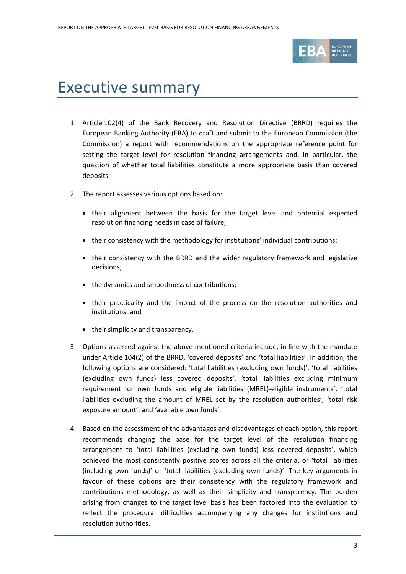

# <span id="page-2-0"></span>Executive summary

- 1. Article 102(4) of the Bank Recovery and Resolution Directive (BRRD) requires the European Banking Authority (EBA) to draft and submit to the European Commission (the Commission) a report with recommendations on the appropriate reference point for setting the target level for resolution financing arrangements and, in particular, the question of whether total liabilities constitute a more appropriate basis than covered deposits.
- 2. The report assesses various options based on:
	- their alignment between the basis for the target level and potential expected resolution financing needs in case of failure;
	- their consistency with the methodology for institutions' individual contributions;
	- their consistency with the BRRD and the wider regulatory framework and legislative decisions;
	- the dynamics and smoothness of contributions;
	- their practicality and the impact of the process on the resolution authorities and institutions; and
	- their simplicity and transparency.
- 3. Options assessed against the above-mentioned criteria include, in line with the mandate under Article 104(2) of the BRRD, 'covered deposits' and 'total liabilities'. In addition, the following options are considered: 'total liabilities (excluding own funds)', 'total liabilities (excluding own funds) less covered deposits', 'total liabilities excluding minimum requirement for own funds and eligible liabilities (MREL)-eligible instruments', 'total liabilities excluding the amount of MREL set by the resolution authorities', 'total risk exposure amount', and 'available own funds'.
- 4. Based on the assessment of the advantages and disadvantages of each option, this report recommends changing the base for the target level of the resolution financing arrangement to 'total liabilities (excluding own funds) less covered deposits', which achieved the most consistently positive scores across all the criteria, or 'total liabilities (including own funds)' or 'total liabilities (excluding own funds)'. The key arguments in favour of these options are their consistency with the regulatory framework and contributions methodology, as well as their simplicity and transparency. The burden arising from changes to the target level basis has been factored into the evaluation to reflect the procedural difficulties accompanying any changes for institutions and resolution authorities.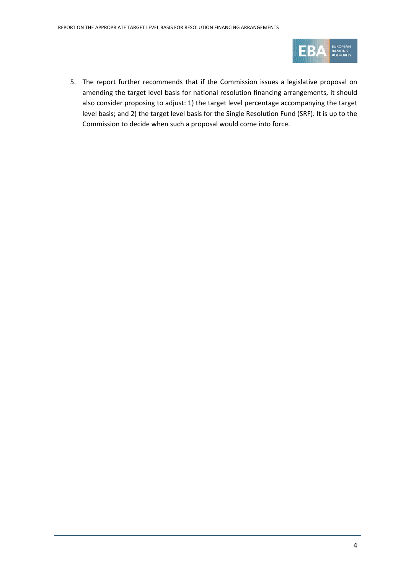

5. The report further recommends that if the Commission issues a legislative proposal on amending the target level basis for national resolution financing arrangements, it should also consider proposing to adjust: 1) the target level percentage accompanying the target level basis; and 2) the target level basis for the Single Resolution Fund (SRF). It is up to the Commission to decide when such a proposal would come into force.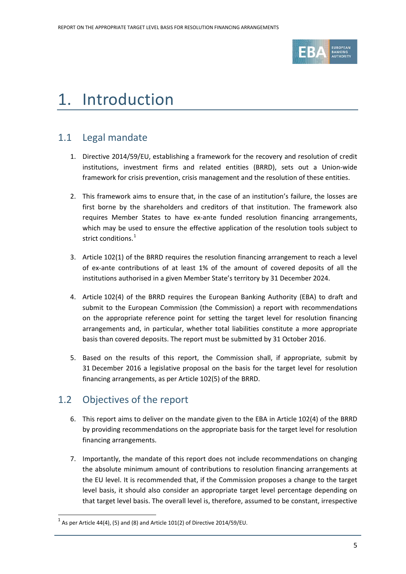

# <span id="page-4-0"></span>1. Introduction

## <span id="page-4-1"></span>1.1 Legal mandate

- 1. Directive 2014/59/EU, establishing a framework for the recovery and resolution of credit institutions, investment firms and related entities (BRRD), sets out a Union-wide framework for crisis prevention, crisis management and the resolution of these entities.
- 2. This framework aims to ensure that, in the case of an institution's failure, the losses are first borne by the shareholders and creditors of that institution. The framework also requires Member States to have ex-ante funded resolution financing arrangements, which may be used to ensure the effective application of the resolution tools subject to strict conditions. [1](#page-4-3)
- 3. Article 102(1) of the BRRD requires the resolution financing arrangement to reach a level of ex-ante contributions of at least 1% of the amount of covered deposits of all the institutions authorised in a given Member State's territory by 31 December 2024.
- 4. Article 102(4) of the BRRD requires the European Banking Authority (EBA) to draft and submit to the European Commission (the Commission) a report with recommendations on the appropriate reference point for setting the target level for resolution financing arrangements and, in particular, whether total liabilities constitute a more appropriate basis than covered deposits. The report must be submitted by 31 October 2016.
- 5. Based on the results of this report, the Commission shall, if appropriate, submit by 31 December 2016 a legislative proposal on the basis for the target level for resolution financing arrangements, as per Article 102(5) of the BRRD.

## <span id="page-4-2"></span>1.2 Objectives of the report

- 6. This report aims to deliver on the mandate given to the EBA in Article 102(4) of the BRRD by providing recommendations on the appropriate basis for the target level for resolution financing arrangements.
- 7. Importantly, the mandate of this report does not include recommendations on changing the absolute minimum amount of contributions to resolution financing arrangements at the EU level. It is recommended that, if the Commission proposes a change to the target level basis, it should also consider an appropriate target level percentage depending on that target level basis. The overall level is, therefore, assumed to be constant, irrespective

<span id="page-4-3"></span> $^{1}$  As per Article 44(4), (5) and (8) and Article 101(2) of Directive 2014/59/EU.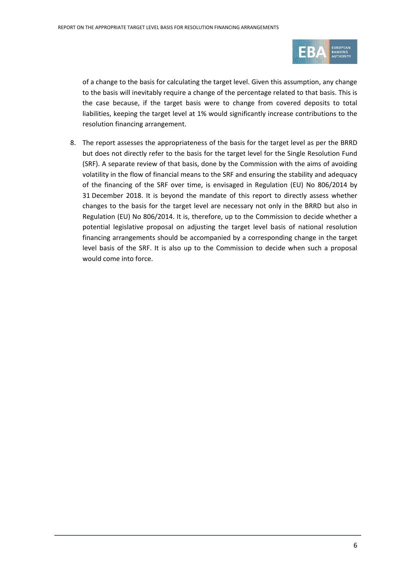

of a change to the basis for calculating the target level. Given this assumption, any change to the basis will inevitably require a change of the percentage related to that basis. This is the case because, if the target basis were to change from covered deposits to total liabilities, keeping the target level at 1% would significantly increase contributions to the resolution financing arrangement.

8. The report assesses the appropriateness of the basis for the target level as per the BRRD but does not directly refer to the basis for the target level for the Single Resolution Fund (SRF). A separate review of that basis, done by the Commission with the aims of avoiding volatility in the flow of financial means to the SRF and ensuring the stability and adequacy of the financing of the SRF over time, is envisaged in Regulation (EU) No 806/2014 by 31 December 2018. It is beyond the mandate of this report to directly assess whether changes to the basis for the target level are necessary not only in the BRRD but also in Regulation (EU) No 806/2014. It is, therefore, up to the Commission to decide whether a potential legislative proposal on adjusting the target level basis of national resolution financing arrangements should be accompanied by a corresponding change in the target level basis of the SRF. It is also up to the Commission to decide when such a proposal would come into force.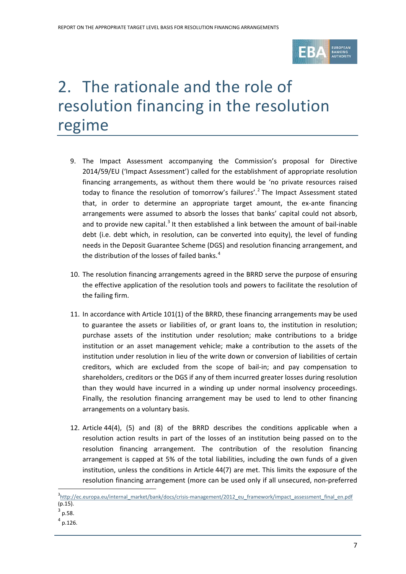

# <span id="page-6-0"></span>2. The rationale and the role of resolution financing in the resolution regime

- 9. The Impact Assessment accompanying the Commission's proposal for Directive 2014/59/EU ('Impact Assessment') called for the establishment of appropriate resolution financing arrangements, as without them there would be 'no private resources raised today to finance the resolution of tomorrow's failures'. [2](#page-6-1) The Impact Assessment stated that, in order to determine an appropriate target amount, the ex-ante financing arrangements were assumed to absorb the losses that banks' capital could not absorb, and to provide new capital.<sup>[3](#page-6-2)</sup> It then established a link between the amount of bail-inable debt (i.e. debt which, in resolution, can be converted into equity), the level of funding needs in the Deposit Guarantee Scheme (DGS) and resolution financing arrangement, and the distribution of the losses of failed banks.<sup>[4](#page-6-3)</sup>
- 10. The resolution financing arrangements agreed in the BRRD serve the purpose of ensuring the effective application of the resolution tools and powers to facilitate the resolution of the failing firm.
- 11. In accordance with Article 101(1) of the BRRD, these financing arrangements may be used to guarantee the assets or liabilities of, or grant loans to, the institution in resolution; purchase assets of the institution under resolution; make contributions to a bridge institution or an asset management vehicle; make a contribution to the assets of the institution under resolution in lieu of the write down or conversion of liabilities of certain creditors, which are excluded from the scope of bail-in; and pay compensation to shareholders, creditors or the DGS if any of them incurred greater losses during resolution than they would have incurred in a winding up under normal insolvency proceedings. Finally, the resolution financing arrangement may be used to lend to other financing arrangements on a voluntary basis.
- 12. Article 44(4), (5) and (8) of the BRRD describes the conditions applicable when a resolution action results in part of the losses of an institution being passed on to the resolution financing arrangement. The contribution of the resolution financing arrangement is capped at 5% of the total liabilities, including the own funds of a given institution, unless the conditions in Article 44(7) are met. This limits the exposure of the resolution financing arrangement (more can be used only if all unsecured, non-preferred

<span id="page-6-1"></span><sup>&</sup>lt;sup>3</sup>[http://ec.europa.eu/internal\\_market/bank/docs/crisis-management/2012\\_eu\\_framework/impact\\_assessment\\_final\\_en.pdf](http://ec.europa.eu/internal_market/bank/docs/crisis-management/2012_eu_framework/impact_assessment_final_en.pdf)  $(p.15)$ .

<span id="page-6-2"></span> $3$  p.58.

<span id="page-6-3"></span>p.126.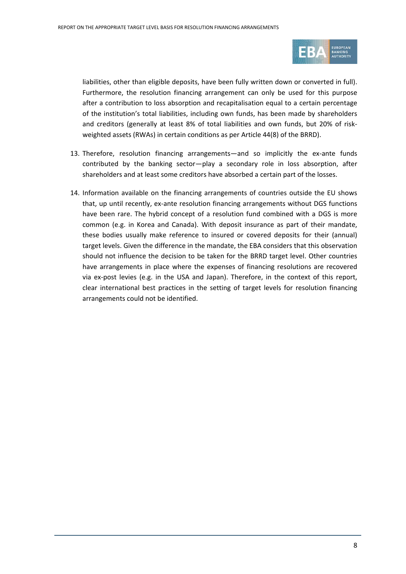

liabilities, other than eligible deposits, have been fully written down or converted in full). Furthermore, the resolution financing arrangement can only be used for this purpose after a contribution to loss absorption and recapitalisation equal to a certain percentage of the institution's total liabilities, including own funds, has been made by shareholders and creditors (generally at least 8% of total liabilities and own funds, but 20% of riskweighted assets (RWAs) in certain conditions as per Article 44(8) of the BRRD).

- 13. Therefore, resolution financing arrangements—and so implicitly the ex-ante funds contributed by the banking sector—play a secondary role in loss absorption, after shareholders and at least some creditors have absorbed a certain part of the losses.
- 14. Information available on the financing arrangements of countries outside the EU shows that, up until recently, ex-ante resolution financing arrangements without DGS functions have been rare. The hybrid concept of a resolution fund combined with a DGS is more common (e.g. in Korea and Canada). With deposit insurance as part of their mandate, these bodies usually make reference to insured or covered deposits for their (annual) target levels. Given the difference in the mandate, the EBA considers that this observation should not influence the decision to be taken for the BRRD target level. Other countries have arrangements in place where the expenses of financing resolutions are recovered via ex-post levies (e.g. in the USA and Japan). Therefore, in the context of this report, clear international best practices in the setting of target levels for resolution financing arrangements could not be identified.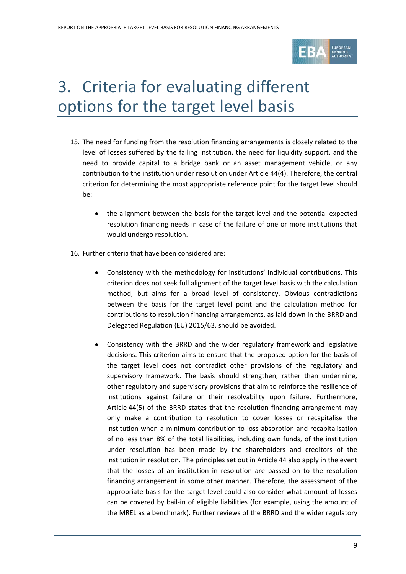

# <span id="page-8-0"></span>3. Criteria for evaluating different options for the target level basis

- 15. The need for funding from the resolution financing arrangements is closely related to the level of losses suffered by the failing institution, the need for liquidity support, and the need to provide capital to a bridge bank or an asset management vehicle, or any contribution to the institution under resolution under Article 44(4). Therefore, the central criterion for determining the most appropriate reference point for the target level should be:
	- the alignment between the basis for the target level and the potential expected resolution financing needs in case of the failure of one or more institutions that would undergo resolution.
- 16. Further criteria that have been considered are:
	- Consistency with the methodology for institutions' individual contributions. This criterion does not seek full alignment of the target level basis with the calculation method, but aims for a broad level of consistency. Obvious contradictions between the basis for the target level point and the calculation method for contributions to resolution financing arrangements, as laid down in the BRRD and Delegated Regulation (EU) 2015/63, should be avoided.
	- Consistency with the BRRD and the wider regulatory framework and legislative decisions. This criterion aims to ensure that the proposed option for the basis of the target level does not contradict other provisions of the regulatory and supervisory framework. The basis should strengthen, rather than undermine, other regulatory and supervisory provisions that aim to reinforce the resilience of institutions against failure or their resolvability upon failure. Furthermore, Article 44(5) of the BRRD states that the resolution financing arrangement may only make a contribution to resolution to cover losses or recapitalise the institution when a minimum contribution to loss absorption and recapitalisation of no less than 8% of the total liabilities, including own funds, of the institution under resolution has been made by the shareholders and creditors of the institution in resolution. The principles set out in Article 44 also apply in the event that the losses of an institution in resolution are passed on to the resolution financing arrangement in some other manner. Therefore, the assessment of the appropriate basis for the target level could also consider what amount of losses can be covered by bail-in of eligible liabilities (for example, using the amount of the MREL as a benchmark). Further reviews of the BRRD and the wider regulatory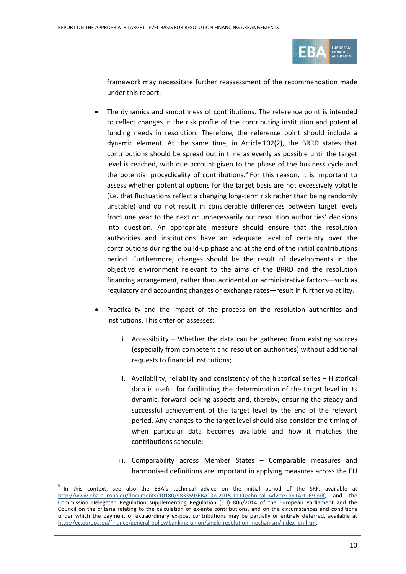

framework may necessitate further reassessment of the recommendation made under this report.

- The dynamics and smoothness of contributions. The reference point is intended to reflect changes in the risk profile of the contributing institution and potential funding needs in resolution. Therefore, the reference point should include a dynamic element. At the same time, in Article 102(2), the BRRD states that contributions should be spread out in time as evenly as possible until the target level is reached, with due account given to the phase of the business cycle and the potential procyclicality of contributions. [5](#page-9-0) For this reason, it is important to assess whether potential options for the target basis are not excessively volatile (i.e. that fluctuations reflect a changing long-term risk rather than being randomly unstable) and do not result in considerable differences between target levels from one year to the next or unnecessarily put resolution authorities' decisions into question. An appropriate measure should ensure that the resolution authorities and institutions have an adequate level of certainty over the contributions during the build-up phase and at the end of the initial contributions period. Furthermore, changes should be the result of developments in the objective environment relevant to the aims of the BRRD and the resolution financing arrangement, rather than accidental or administrative factors—such as regulatory and accounting changes or exchange rates—result in further volatility.
- Practicality and the impact of the process on the resolution authorities and institutions. This criterion assesses:
	- i. Accessibility Whether the data can be gathered from existing sources (especially from competent and resolution authorities) without additional requests to financial institutions;
	- ii. Availability, reliability and consistency of the historical series Historical data is useful for facilitating the determination of the target level in its dynamic, forward-looking aspects and, thereby, ensuring the steady and successful achievement of the target level by the end of the relevant period. Any changes to the target level should also consider the timing of when particular data becomes available and how it matches the contributions schedule;
	- iii. Comparability across Member States Comparable measures and harmonised definitions are important in applying measures across the EU

l

<span id="page-9-0"></span><sup>5</sup> In this context, see also the EBA's technical advice on the initial period of the SRF, available at [http://www.eba.europa.eu/documents/10180/983359/EBA-Op-2015-11+Technical+Advice+on+Art+69.pdf,](http://www.eba.europa.eu/documents/10180/983359/EBA-Op-2015-11+Technical+Advice+on+Art+69.pdf) and the Commission Delegated Regulation supplementing Regulation (EU) 806/2014 of the European Parliament and the Council on the criteria relating to the calculation of ex-ante contributions, and on the circumstances and conditions under which the payment of extraordinary ex-post contributions may be partially or entirely deferred, available at [http://ec.europa.eu/finance/general-policy/banking-union/single-resolution-mechanism/index\\_en.htm.](http://ec.europa.eu/finance/general-policy/banking-union/single-resolution-mechanism/index_en.htm)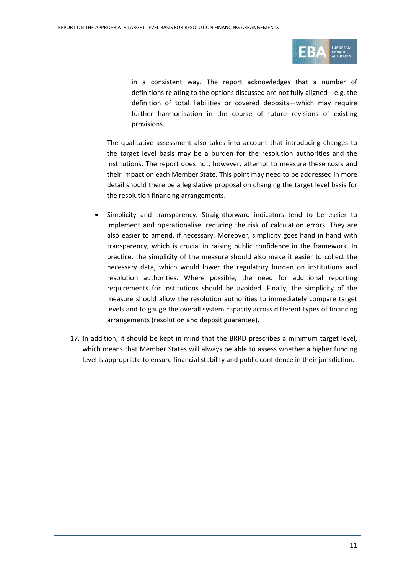

in a consistent way. The report acknowledges that a number of definitions relating to the options discussed are not fully aligned—e.g. the definition of total liabilities or covered deposits—which may require further harmonisation in the course of future revisions of existing provisions.

The qualitative assessment also takes into account that introducing changes to the target level basis may be a burden for the resolution authorities and the institutions. The report does not, however, attempt to measure these costs and their impact on each Member State. This point may need to be addressed in more detail should there be a legislative proposal on changing the target level basis for the resolution financing arrangements.

- Simplicity and transparency. Straightforward indicators tend to be easier to implement and operationalise, reducing the risk of calculation errors. They are also easier to amend, if necessary. Moreover, simplicity goes hand in hand with transparency, which is crucial in raising public confidence in the framework. In practice, the simplicity of the measure should also make it easier to collect the necessary data, which would lower the regulatory burden on institutions and resolution authorities. Where possible, the need for additional reporting requirements for institutions should be avoided. Finally, the simplicity of the measure should allow the resolution authorities to immediately compare target levels and to gauge the overall system capacity across different types of financing arrangements (resolution and deposit guarantee).
- 17. In addition, it should be kept in mind that the BRRD prescribes a minimum target level, which means that Member States will always be able to assess whether a higher funding level is appropriate to ensure financial stability and public confidence in their jurisdiction.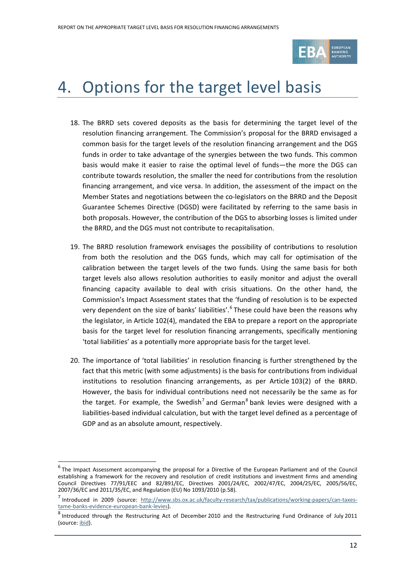

# <span id="page-11-0"></span>4. Options for the target level basis

- 18. The BRRD sets covered deposits as the basis for determining the target level of the resolution financing arrangement. The Commission's proposal for the BRRD envisaged a common basis for the target levels of the resolution financing arrangement and the DGS funds in order to take advantage of the synergies between the two funds. This common basis would make it easier to raise the optimal level of funds—the more the DGS can contribute towards resolution, the smaller the need for contributions from the resolution financing arrangement, and vice versa. In addition, the assessment of the impact on the Member States and negotiations between the co-legislators on the BRRD and the Deposit Guarantee Schemes Directive (DGSD) were facilitated by referring to the same basis in both proposals. However, the contribution of the DGS to absorbing losses is limited under the BRRD, and the DGS must not contribute to recapitalisation.
- 19. The BRRD resolution framework envisages the possibility of contributions to resolution from both the resolution and the DGS funds, which may call for optimisation of the calibration between the target levels of the two funds. Using the same basis for both target levels also allows resolution authorities to easily monitor and adjust the overall financing capacity available to deal with crisis situations. On the other hand, the Commission's Impact Assessment states that the 'funding of resolution is to be expected very dependent on the size of banks' liabilities'.<sup>[6](#page-11-1)</sup> These could have been the reasons why the legislator, in Article 102(4), mandated the EBA to prepare a report on the appropriate basis for the target level for resolution financing arrangements, specifically mentioning 'total liabilities' as a potentially more appropriate basis for the target level.
- 20. The importance of 'total liabilities' in resolution financing is further strengthened by the fact that this metric (with some adjustments) is the basis for contributions from individual institutions to resolution financing arrangements, as per Article 103(2) of the BRRD. However, the basis for individual contributions need not necessarily be the same as for the target. For example, the Swedish<sup>[7](#page-11-2)</sup> and German<sup>[8](#page-11-3)</sup> bank levies were designed with a liabilities-based individual calculation, but with the target level defined as a percentage of GDP and as an absolute amount, respectively.

<span id="page-11-1"></span> $<sup>6</sup>$ The Impact Assessment accompanying the proposal for a Directive of the European Parliament and of the Council</sup> establishing a framework for the recovery and resolution of credit institutions and investment firms and amending Council Directives 77/91/EEC and 82/891/EC, Directives 2001/24/EC, 2002/47/EC, 2004/25/EC, 2005/56/EC, 2007/36/EC and 2011/35/EC, and Regulation (EU) No 1093/2010 (p.58).

<span id="page-11-2"></span><sup>&</sup>lt;sup>7</sup> Introduced in 2009 (source: [http://www.sbs.ox.ac.uk/faculty-research/tax/publications/working-papers/can-taxes](http://www.sbs.ox.ac.uk/faculty-research/tax/publications/working-papers/can-taxes-tame-banks-evidence-european-bank-levies)[tame-banks-evidence-european-bank-levies\)](http://www.sbs.ox.ac.uk/faculty-research/tax/publications/working-papers/can-taxes-tame-banks-evidence-european-bank-levies).

<span id="page-11-3"></span><sup>&</sup>lt;sup>8</sup> Introduced through the Restructuring Act of December 2010 and the Restructuring Fund Ordinance of July 2011 (source[: ibid\)](http://www.sbs.ox.ac.uk/faculty-research/tax/publications/working-papers/can-taxes-tame-banks-evidence-european-bank-levies).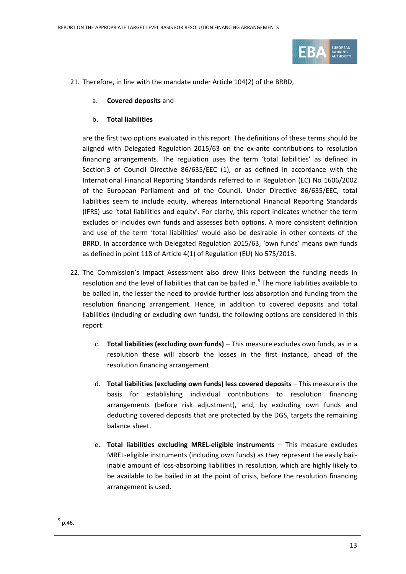

- 21. Therefore, in line with the mandate under Article 104(2) of the BRRD,
	- a. **Covered deposits** and
	- b. **Total liabilities**

are the first two options evaluated in this report. The definitions of these terms should be aligned with Delegated Regulation 2015/63 on the ex-ante contributions to resolution financing arrangements. The regulation uses the term 'total liabilities' as defined in Section 3 of Council Directive 86/635/EEC (1), or as defined in accordance with the International Financial Reporting Standards referred to in Regulation (EC) No 1606/2002 of the European Parliament and of the Council. Under Directive 86/635/EEC, total liabilities seem to include equity, whereas International Financial Reporting Standards (IFRS) use 'total liabilities and equity'. For clarity, this report indicates whether the term excludes or includes own funds and assesses both options. A more consistent definition and use of the term 'total liabilities' would also be desirable in other contexts of the BRRD. In accordance with Delegated Regulation 2015/63, 'own funds' means own funds as defined in point 118 of Article 4(1) of Regulation (EU) No 575/2013.

- 22. The Commission's Impact Assessment also drew links between the funding needs in resolution and the level of liabilities that can be bailed in. [9](#page-12-0) The more liabilities available to be bailed in, the lesser the need to provide further loss absorption and funding from the resolution financing arrangement. Hence, in addition to covered deposits and total liabilities (including or excluding own funds), the following options are considered in this report:
	- c. **Total liabilities (excluding own funds)** This measure excludes own funds, as in a resolution these will absorb the losses in the first instance, ahead of the resolution financing arrangement.
	- d. **Total liabilities (excluding own funds) less covered deposits** This measure is the basis for establishing individual contributions to resolution financing arrangements (before risk adjustment), and, by excluding own funds and deducting covered deposits that are protected by the DGS, targets the remaining balance sheet.
	- e. **Total liabilities excluding MREL-eligible instruments** This measure excludes MREL-eligible instruments (including own funds) as they represent the easily bailinable amount of loss-absorbing liabilities in resolution, which are highly likely to be available to be bailed in at the point of crisis, before the resolution financing arrangement is used.

<span id="page-12-0"></span> $^{9}$  p.46.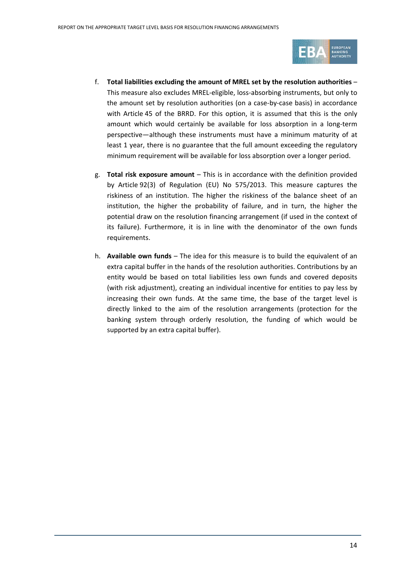

- f. **Total liabilities excluding the amount of MREL set by the resolution authorities** This measure also excludes MREL-eligible, loss-absorbing instruments, but only to the amount set by resolution authorities (on a case-by-case basis) in accordance with Article 45 of the BRRD. For this option, it is assumed that this is the only amount which would certainly be available for loss absorption in a long-term perspective—although these instruments must have a minimum maturity of at least 1 year, there is no guarantee that the full amount exceeding the regulatory minimum requirement will be available for loss absorption over a longer period.
- g. **Total risk exposure amount** This is in accordance with the definition provided by Article 92(3) of Regulation (EU) No 575/2013. This measure captures the riskiness of an institution. The higher the riskiness of the balance sheet of an institution, the higher the probability of failure, and in turn, the higher the potential draw on the resolution financing arrangement (if used in the context of its failure). Furthermore, it is in line with the denominator of the own funds requirements.
- h. **Available own funds** The idea for this measure is to build the equivalent of an extra capital buffer in the hands of the resolution authorities. Contributions by an entity would be based on total liabilities less own funds and covered deposits (with risk adjustment), creating an individual incentive for entities to pay less by increasing their own funds. At the same time, the base of the target level is directly linked to the aim of the resolution arrangements (protection for the banking system through orderly resolution, the funding of which would be supported by an extra capital buffer).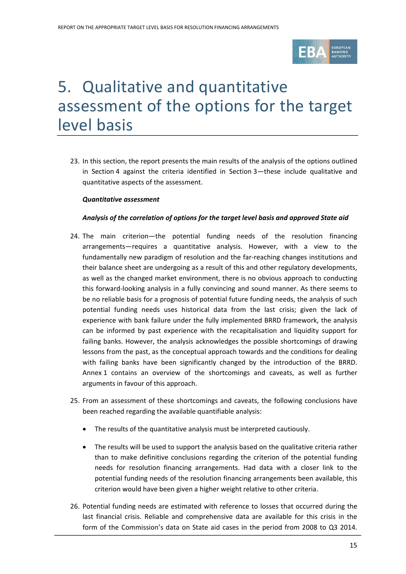

# <span id="page-14-0"></span>5. Qualitative and quantitative assessment of the options for the target level basis

23. In this section, the report presents the main results of the analysis of the options outlined in Section 4 against the criteria identified in Section 3—these include qualitative and quantitative aspects of the assessment.

### *Quantitative assessment*

### *Analysis of the correlation of options for the target level basis and approved State aid*

- 24. The main criterion—the potential funding needs of the resolution financing arrangements—requires a quantitative analysis. However, with a view to the fundamentally new paradigm of resolution and the far-reaching changes institutions and their balance sheet are undergoing as a result of this and other regulatory developments, as well as the changed market environment, there is no obvious approach to conducting this forward-looking analysis in a fully convincing and sound manner. As there seems to be no reliable basis for a prognosis of potential future funding needs, the analysis of such potential funding needs uses historical data from the last crisis; given the lack of experience with bank failure under the fully implemented BRRD framework, the analysis can be informed by past experience with the recapitalisation and liquidity support for failing banks. However, the analysis acknowledges the possible shortcomings of drawing lessons from the past, as the conceptual approach towards and the conditions for dealing with failing banks have been significantly changed by the introduction of the BRRD. Annex 1 contains an overview of the shortcomings and caveats, as well as further arguments in favour of this approach.
- 25. From an assessment of these shortcomings and caveats, the following conclusions have been reached regarding the available quantifiable analysis:
	- The results of the quantitative analysis must be interpreted cautiously.
	- The results will be used to support the analysis based on the qualitative criteria rather than to make definitive conclusions regarding the criterion of the potential funding needs for resolution financing arrangements. Had data with a closer link to the potential funding needs of the resolution financing arrangements been available, this criterion would have been given a higher weight relative to other criteria.
- 26. Potential funding needs are estimated with reference to losses that occurred during the last financial crisis. Reliable and comprehensive data are available for this crisis in the form of the Commission's data on State aid cases in the period from 2008 to Q3 2014.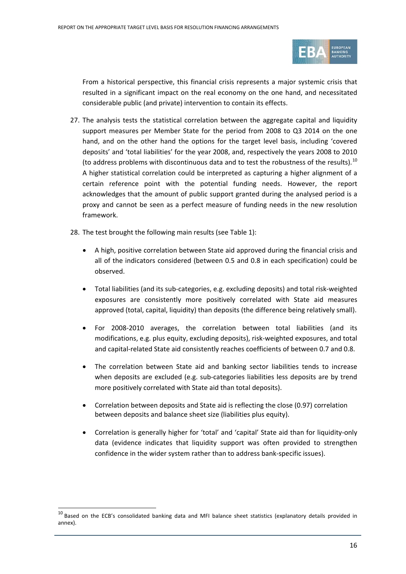

From a historical perspective, this financial crisis represents a major systemic crisis that resulted in a significant impact on the real economy on the one hand, and necessitated considerable public (and private) intervention to contain its effects.

- 27. The analysis tests the statistical correlation between the aggregate capital and liquidity support measures per Member State for the period from 2008 to Q3 2014 on the one hand, and on the other hand the options for the target level basis, including 'covered deposits' and 'total liabilities' for the year 2008, and, respectively the years 2008 to 2010 (to address problems with discontinuous data and to test the robustness of the results).<sup>[10](#page-15-0)</sup> A higher statistical correlation could be interpreted as capturing a higher alignment of a certain reference point with the potential funding needs. However, the report acknowledges that the amount of public support granted during the analysed period is a proxy and cannot be seen as a perfect measure of funding needs in the new resolution framework.
- 28. The test brought the following main results (see Table 1):
	- A high, positive correlation between State aid approved during the financial crisis and all of the indicators considered (between 0.5 and 0.8 in each specification) could be observed.
	- Total liabilities (and its sub-categories, e.g. excluding deposits) and total risk-weighted exposures are consistently more positively correlated with State aid measures approved (total, capital, liquidity) than deposits (the difference being relatively small).
	- For 2008-2010 averages, the correlation between total liabilities (and its modifications, e.g. plus equity, excluding deposits), risk-weighted exposures, and total and capital-related State aid consistently reaches coefficients of between 0.7 and 0.8.
	- The correlation between State aid and banking sector liabilities tends to increase when deposits are excluded (e.g. sub-categories liabilities less deposits are by trend more positively correlated with State aid than total deposits).
	- Correlation between deposits and State aid is reflecting the close (0.97) correlation between deposits and balance sheet size (liabilities plus equity).
	- Correlation is generally higher for 'total' and 'capital' State aid than for liquidity-only data (evidence indicates that liquidity support was often provided to strengthen confidence in the wider system rather than to address bank-specific issues).

<span id="page-15-0"></span> $^{10}$  Based on the ECB's consolidated banking data and MFI balance sheet statistics (explanatory details provided in annex).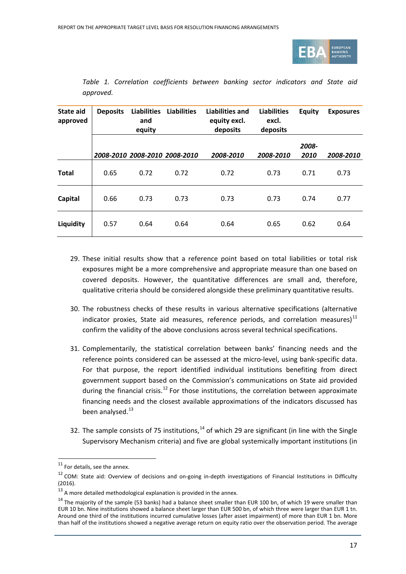

| <b>State aid</b><br>approved | <b>Deposits</b> | <b>Liabilities</b><br>and<br>equity | <b>Liabilities</b> | <b>Liabilities and</b><br>equity excl.<br>deposits | <b>Liabilities</b><br>excl.<br>deposits | <b>Equity</b> | <b>Exposures</b> |
|------------------------------|-----------------|-------------------------------------|--------------------|----------------------------------------------------|-----------------------------------------|---------------|------------------|
|                              |                 | 2008-2010 2008-2010 2008-2010       |                    | 2008-2010                                          | 2008-2010                               | 2008-<br>2010 | 2008-2010        |
| <b>Total</b>                 | 0.65            | 0.72                                | 0.72               | 0.72                                               | 0.73                                    | 0.71          | 0.73             |
| Capital                      | 0.66            | 0.73                                | 0.73               | 0.73                                               | 0.73                                    | 0.74          | 0.77             |
| Liquidity                    | 0.57            | 0.64                                | 0.64               | 0.64                                               | 0.65                                    | 0.62          | 0.64             |

*Table 1. Correlation coefficients between banking sector indicators and State aid approved.*

- 29. These initial results show that a reference point based on total liabilities or total risk exposures might be a more comprehensive and appropriate measure than one based on covered deposits. However, the quantitative differences are small and, therefore, qualitative criteria should be considered alongside these preliminary quantitative results.
- 30. The robustness checks of these results in various alternative specifications (alternative indicator proxies, State aid measures, reference periods, and correlation measures) $11$ confirm the validity of the above conclusions across several technical specifications.
- 31. Complementarily, the statistical correlation between banks' financing needs and the reference points considered can be assessed at the micro-level, using bank-specific data. For that purpose, the report identified individual institutions benefiting from direct government support based on the Commission's communications on State aid provided during the financial crisis.<sup>[12](#page-16-1)</sup> For those institutions, the correlation between approximate financing needs and the closest available approximations of the indicators discussed has been analysed. $^{13}$  $^{13}$  $^{13}$
- 32. The sample consists of 75 institutions,  $^{14}$  $^{14}$  $^{14}$  of which 29 are significant (in line with the Single Supervisory Mechanism criteria) and five are global systemically important institutions (in

<span id="page-16-0"></span><sup>&</sup>lt;sup>11</sup> For details, see the annex.

<span id="page-16-1"></span><sup>&</sup>lt;sup>12</sup> COM: State aid: Overview of decisions and on-going in-depth investigations of Financial Institutions in Difficulty (2016).

<span id="page-16-2"></span><sup>&</sup>lt;sup>13</sup> A more detailed methodological explanation is provided in the annex.

<span id="page-16-3"></span> $14$  The maiority of the sample (53 banks) had a balance sheet smaller than EUR 100 bn, of which 19 were smaller than EUR 10 bn. Nine institutions showed a balance sheet larger than EUR 500 bn, of which three were larger than EUR 1 tn. Around one third of the institutions incurred cumulative losses (after asset impairment) of more than EUR 1 bn. More than half of the institutions showed a negative average return on equity ratio over the observation period. The average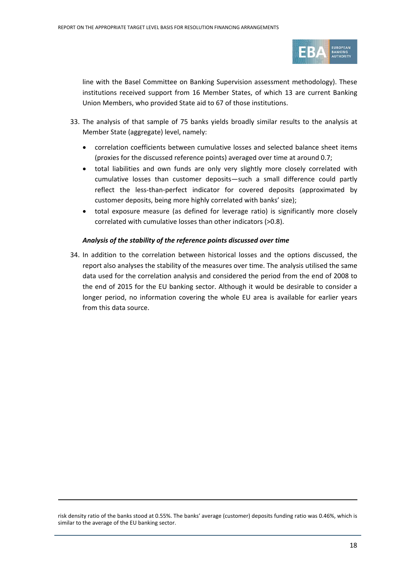

line with the Basel Committee on Banking Supervision assessment methodology). These institutions received support from 16 Member States, of which 13 are current Banking Union Members, who provided State aid to 67 of those institutions.

- 33. The analysis of that sample of 75 banks yields broadly similar results to the analysis at Member State (aggregate) level, namely:
	- correlation coefficients between cumulative losses and selected balance sheet items (proxies for the discussed reference points) averaged over time at around 0.7;
	- total liabilities and own funds are only very slightly more closely correlated with cumulative losses than customer deposits—such a small difference could partly reflect the less-than-perfect indicator for covered deposits (approximated by customer deposits, being more highly correlated with banks' size);
	- total exposure measure (as defined for leverage ratio) is significantly more closely correlated with cumulative losses than other indicators (>0.8).

### *Analysis of the stability of the reference points discussed over time*

34. In addition to the correlation between historical losses and the options discussed, the report also analyses the stability of the measures over time. The analysis utilised the same data used for the correlation analysis and considered the period from the end of 2008 to the end of 2015 for the EU banking sector. Although it would be desirable to consider a longer period, no information covering the whole EU area is available for earlier years from this data source.

risk density ratio of the banks stood at 0.55%. The banks' average (customer) deposits funding ratio was 0.46%, which is similar to the average of the EU banking sector.

l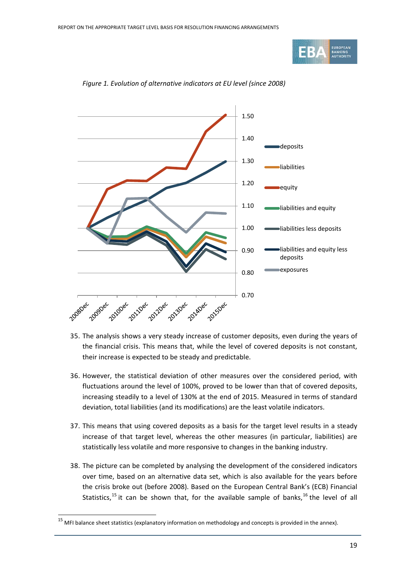



*Figure 1. Evolution of alternative indicators at EU level (since 2008)*

- 35. The analysis shows a very steady increase of customer deposits, even during the years of the financial crisis. This means that, while the level of covered deposits is not constant, their increase is expected to be steady and predictable.
- 36. However, the statistical deviation of other measures over the considered period, with fluctuations around the level of 100%, proved to be lower than that of covered deposits, increasing steadily to a level of 130% at the end of 2015. Measured in terms of standard deviation, total liabilities (and its modifications) are the least volatile indicators.
- 37. This means that using covered deposits as a basis for the target level results in a steady increase of that target level, whereas the other measures (in particular, liabilities) are statistically less volatile and more responsive to changes in the banking industry.
- 38. The picture can be completed by analysing the development of the considered indicators over time, based on an alternative data set, which is also available for the years before the crisis broke out (before 2008). Based on the European Central Bank's (ECB) Financial Statistics,<sup>[15](#page-18-0)</sup> it can be shown that, for the available sample of banks,<sup>[16](#page-18-0)</sup> the level of all

<span id="page-18-0"></span> $15$  MFI balance sheet statistics (explanatory information on methodology and concepts is provided in the annex).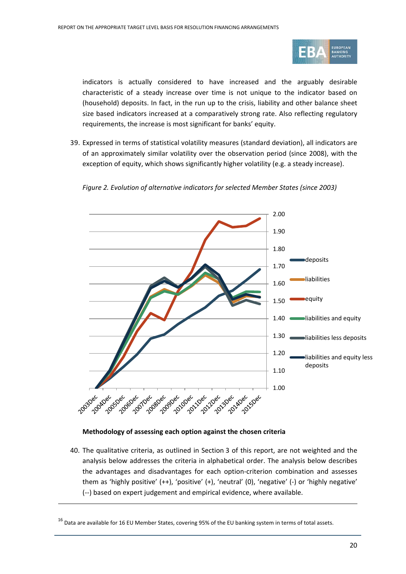

indicators is actually considered to have increased and the arguably desirable characteristic of a steady increase over time is not unique to the indicator based on (household) deposits. In fact, in the run up to the crisis, liability and other balance sheet size based indicators increased at a comparatively strong rate. Also reflecting regulatory requirements, the increase is most significant for banks' equity.

39. Expressed in terms of statistical volatility measures (standard deviation), all indicators are of an approximately similar volatility over the observation period (since 2008), with the exception of equity, which shows significantly higher volatility (e.g. a steady increase).



*Figure 2. Evolution of alternative indicators for selected Member States (since 2003)*

### **Methodology of assessing each option against the chosen criteria**

l

40. The qualitative criteria, as outlined in Section 3 of this report, are not weighted and the analysis below addresses the criteria in alphabetical order. The analysis below describes the advantages and disadvantages for each option-criterion combination and assesses them as 'highly positive' (++), 'positive' (+), 'neutral' (0), 'negative' (-) or 'highly negative' (--) based on expert judgement and empirical evidence, where available.

 $^{16}$  Data are available for 16 EU Member States, covering 95% of the EU banking system in terms of total assets.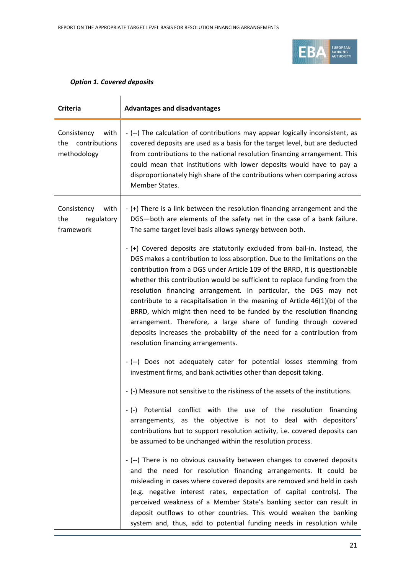

### *Option 1. Covered deposits*

| <b>Criteria</b>                                            | <b>Advantages and disadvantages</b>                                                                                                                                                                                                                                                                                                                                                                                                                                                                                                                                                                                                                                                                                                |
|------------------------------------------------------------|------------------------------------------------------------------------------------------------------------------------------------------------------------------------------------------------------------------------------------------------------------------------------------------------------------------------------------------------------------------------------------------------------------------------------------------------------------------------------------------------------------------------------------------------------------------------------------------------------------------------------------------------------------------------------------------------------------------------------------|
| with<br>Consistency<br>contributions<br>the<br>methodology | - (--) The calculation of contributions may appear logically inconsistent, as<br>covered deposits are used as a basis for the target level, but are deducted<br>from contributions to the national resolution financing arrangement. This<br>could mean that institutions with lower deposits would have to pay a<br>disproportionately high share of the contributions when comparing across<br>Member States.                                                                                                                                                                                                                                                                                                                    |
| with<br>Consistency<br>regulatory<br>the<br>framework      | - (+) There is a link between the resolution financing arrangement and the<br>DGS-both are elements of the safety net in the case of a bank failure.<br>The same target level basis allows synergy between both.                                                                                                                                                                                                                                                                                                                                                                                                                                                                                                                   |
|                                                            | - (+) Covered deposits are statutorily excluded from bail-in. Instead, the<br>DGS makes a contribution to loss absorption. Due to the limitations on the<br>contribution from a DGS under Article 109 of the BRRD, it is questionable<br>whether this contribution would be sufficient to replace funding from the<br>resolution financing arrangement. In particular, the DGS may not<br>contribute to a recapitalisation in the meaning of Article $46(1)(b)$ of the<br>BRRD, which might then need to be funded by the resolution financing<br>arrangement. Therefore, a large share of funding through covered<br>deposits increases the probability of the need for a contribution from<br>resolution financing arrangements. |
|                                                            | - (--) Does not adequately cater for potential losses stemming from<br>investment firms, and bank activities other than deposit taking.                                                                                                                                                                                                                                                                                                                                                                                                                                                                                                                                                                                            |
|                                                            | - (-) Measure not sensitive to the riskiness of the assets of the institutions.                                                                                                                                                                                                                                                                                                                                                                                                                                                                                                                                                                                                                                                    |
|                                                            | - (-) Potential conflict with the use of the resolution financing<br>arrangements, as the objective is not to deal with depositors'<br>contributions but to support resolution activity, i.e. covered deposits can<br>be assumed to be unchanged within the resolution process.                                                                                                                                                                                                                                                                                                                                                                                                                                                    |
|                                                            | - (--) There is no obvious causality between changes to covered deposits<br>and the need for resolution financing arrangements. It could be<br>misleading in cases where covered deposits are removed and held in cash<br>(e.g. negative interest rates, expectation of capital controls). The<br>perceived weakness of a Member State's banking sector can result in<br>deposit outflows to other countries. This would weaken the banking<br>system and, thus, add to potential funding needs in resolution while                                                                                                                                                                                                                |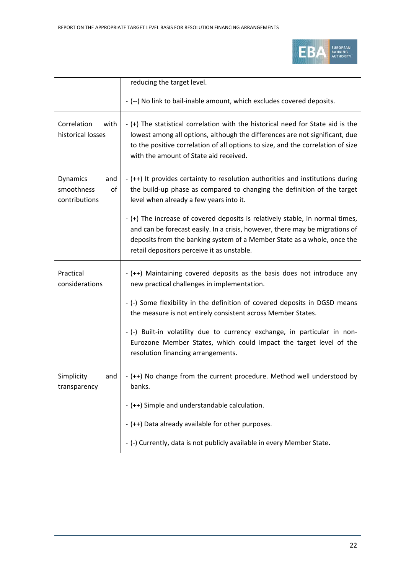

|                                                             | reducing the target level.                                                                                                                                                                                                                                                                  |
|-------------------------------------------------------------|---------------------------------------------------------------------------------------------------------------------------------------------------------------------------------------------------------------------------------------------------------------------------------------------|
|                                                             | - (--) No link to bail-inable amount, which excludes covered deposits.                                                                                                                                                                                                                      |
| Correlation<br>with<br>historical losses                    | - (+) The statistical correlation with the historical need for State aid is the<br>lowest among all options, although the differences are not significant, due<br>to the positive correlation of all options to size, and the correlation of size<br>with the amount of State aid received. |
| <b>Dynamics</b><br>and<br>smoothness<br>of<br>contributions | - (++) It provides certainty to resolution authorities and institutions during<br>the build-up phase as compared to changing the definition of the target<br>level when already a few years into it.                                                                                        |
|                                                             | - (+) The increase of covered deposits is relatively stable, in normal times,<br>and can be forecast easily. In a crisis, however, there may be migrations of<br>deposits from the banking system of a Member State as a whole, once the<br>retail depositors perceive it as unstable.      |
| Practical<br>considerations                                 | - (++) Maintaining covered deposits as the basis does not introduce any<br>new practical challenges in implementation.                                                                                                                                                                      |
|                                                             | - (-) Some flexibility in the definition of covered deposits in DGSD means<br>the measure is not entirely consistent across Member States.                                                                                                                                                  |
|                                                             | - (-) Built-in volatility due to currency exchange, in particular in non-<br>Eurozone Member States, which could impact the target level of the<br>resolution financing arrangements.                                                                                                       |
| Simplicity<br>and<br>transparency                           | - (++) No change from the current procedure. Method well understood by<br>banks.                                                                                                                                                                                                            |
|                                                             | - (++) Simple and understandable calculation.                                                                                                                                                                                                                                               |
|                                                             | - (++) Data already available for other purposes.                                                                                                                                                                                                                                           |
|                                                             | - (-) Currently, data is not publicly available in every Member State.                                                                                                                                                                                                                      |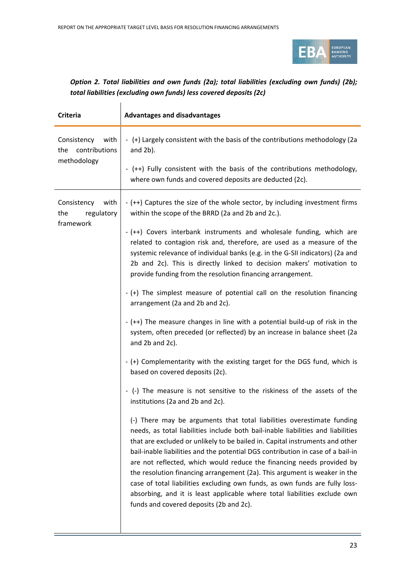

### *Option 2. Total liabilities and own funds (2a); total liabilities (excluding own funds) (2b); total liabilities (excluding own funds) less covered deposits (2c)*

| <b>Criteria</b>                                            | <b>Advantages and disadvantages</b>                                                                                                                                                                                                                                                                                                                                                                                                                                                                                                                                                                                                                                                        |
|------------------------------------------------------------|--------------------------------------------------------------------------------------------------------------------------------------------------------------------------------------------------------------------------------------------------------------------------------------------------------------------------------------------------------------------------------------------------------------------------------------------------------------------------------------------------------------------------------------------------------------------------------------------------------------------------------------------------------------------------------------------|
| with<br>Consistency<br>contributions<br>the<br>methodology | - (+) Largely consistent with the basis of the contributions methodology (2a<br>and $2b$ ).                                                                                                                                                                                                                                                                                                                                                                                                                                                                                                                                                                                                |
|                                                            | - (++) Fully consistent with the basis of the contributions methodology,<br>where own funds and covered deposits are deducted (2c).                                                                                                                                                                                                                                                                                                                                                                                                                                                                                                                                                        |
| Consistency<br>with<br>the<br>regulatory<br>framework      | - (++) Captures the size of the whole sector, by including investment firms<br>within the scope of the BRRD (2a and 2b and 2c.).                                                                                                                                                                                                                                                                                                                                                                                                                                                                                                                                                           |
|                                                            | - (++) Covers interbank instruments and wholesale funding, which are<br>related to contagion risk and, therefore, are used as a measure of the<br>systemic relevance of individual banks (e.g. in the G-SII indicators) (2a and<br>2b and 2c). This is directly linked to decision makers' motivation to<br>provide funding from the resolution financing arrangement.                                                                                                                                                                                                                                                                                                                     |
|                                                            | - (+) The simplest measure of potential call on the resolution financing<br>arrangement (2a and 2b and 2c).                                                                                                                                                                                                                                                                                                                                                                                                                                                                                                                                                                                |
|                                                            | - (++) The measure changes in line with a potential build-up of risk in the<br>system, often preceded (or reflected) by an increase in balance sheet (2a<br>and 2b and 2c).                                                                                                                                                                                                                                                                                                                                                                                                                                                                                                                |
|                                                            | - (+) Complementarity with the existing target for the DGS fund, which is<br>based on covered deposits (2c).                                                                                                                                                                                                                                                                                                                                                                                                                                                                                                                                                                               |
|                                                            | (-) The measure is not sensitive to the riskiness of the assets of the<br>institutions (2a and 2b and 2c).                                                                                                                                                                                                                                                                                                                                                                                                                                                                                                                                                                                 |
|                                                            | (-) There may be arguments that total liabilities overestimate funding<br>needs, as total liabilities include both bail-inable liabilities and liabilities<br>that are excluded or unlikely to be bailed in. Capital instruments and other<br>bail-inable liabilities and the potential DGS contribution in case of a bail-in<br>are not reflected, which would reduce the financing needs provided by<br>the resolution financing arrangement (2a). This argument is weaker in the<br>case of total liabilities excluding own funds, as own funds are fully loss-<br>absorbing, and it is least applicable where total liabilities exclude own<br>funds and covered deposits (2b and 2c). |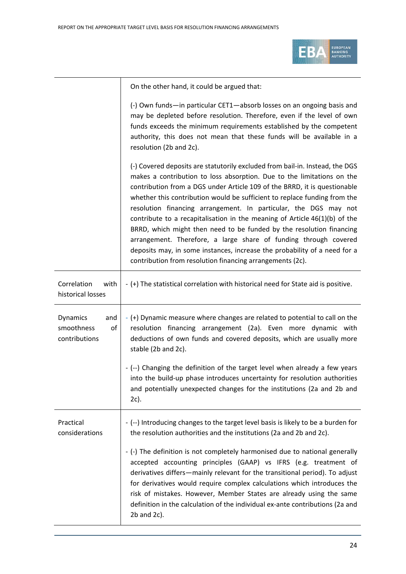

| (-) Own funds—in particular CET1—absorb losses on an ongoing basis and<br>may be depleted before resolution. Therefore, even if the level of own<br>funds exceeds the minimum requirements established by the competent<br>authority, this does not mean that these funds will be available in a<br>resolution (2b and 2c).                                                          |
|--------------------------------------------------------------------------------------------------------------------------------------------------------------------------------------------------------------------------------------------------------------------------------------------------------------------------------------------------------------------------------------|
| (-) Covered deposits are statutorily excluded from bail-in. Instead, the DGS<br>makes a contribution to loss absorption. Due to the limitations on the<br>contribution from a DGS under Article 109 of the BRRD, it is questionable<br>whether this contribution would be sufficient to replace funding from the<br>resolution financing arrangement. In particular, the DGS may not |

contribute to a recapitalisation in the meaning of Article 46(1)(b) of the BRRD, which might then need to be funded by the resolution financing arrangement. Therefore, a large share of funding through covered deposits may, in some instances, increase the probability of a need for a contribution from resolution financing arrangements (2c).

| Correlation<br>with<br>historical losses                    | - (+) The statistical correlation with historical need for State aid is positive.                                                                                                                                                                                                                                                                                                                                                                                                     |
|-------------------------------------------------------------|---------------------------------------------------------------------------------------------------------------------------------------------------------------------------------------------------------------------------------------------------------------------------------------------------------------------------------------------------------------------------------------------------------------------------------------------------------------------------------------|
| <b>Dynamics</b><br>and<br>smoothness<br>of<br>contributions | - (+) Dynamic measure where changes are related to potential to call on the<br>resolution financing arrangement (2a). Even more dynamic with<br>deductions of own funds and covered deposits, which are usually more<br>stable (2b and 2c).                                                                                                                                                                                                                                           |
|                                                             | - (--) Changing the definition of the target level when already a few years<br>into the build-up phase introduces uncertainty for resolution authorities<br>and potentially unexpected changes for the institutions (2a and 2b and<br>2c).                                                                                                                                                                                                                                            |
| Practical<br>considerations                                 | - (--) Introducing changes to the target level basis is likely to be a burden for<br>the resolution authorities and the institutions (2a and 2b and 2c).                                                                                                                                                                                                                                                                                                                              |
|                                                             | - (-) The definition is not completely harmonised due to national generally<br>accepted accounting principles (GAAP) vs IFRS (e.g. treatment of<br>derivatives differs—mainly relevant for the transitional period). To adjust<br>for derivatives would require complex calculations which introduces the<br>risk of mistakes. However, Member States are already using the same<br>definition in the calculation of the individual ex-ante contributions (2a and<br>$2b$ and $2c$ ). |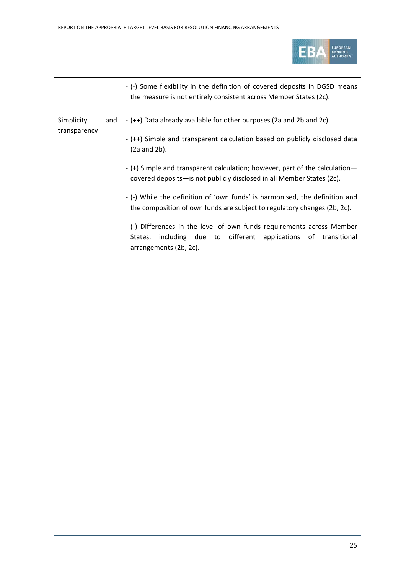

|                            |     | - (-) Some flexibility in the definition of covered deposits in DGSD means<br>the measure is not entirely consistent across Member States (2c).                         |
|----------------------------|-----|-------------------------------------------------------------------------------------------------------------------------------------------------------------------------|
| Simplicity<br>transparency | and | - (++) Data already available for other purposes (2a and 2b and 2c).<br>- (++) Simple and transparent calculation based on publicly disclosed data<br>$(2a$ and $2b)$ . |
|                            |     | - (+) Simple and transparent calculation; however, part of the calculation-<br>covered deposits—is not publicly disclosed in all Member States (2c).                    |
|                            |     | - (-) While the definition of 'own funds' is harmonised, the definition and<br>the composition of own funds are subject to regulatory changes (2b, 2c).                 |
|                            |     | - (-) Differences in the level of own funds requirements across Member<br>States, including due to different applications of transitional<br>arrangements (2b, 2c).     |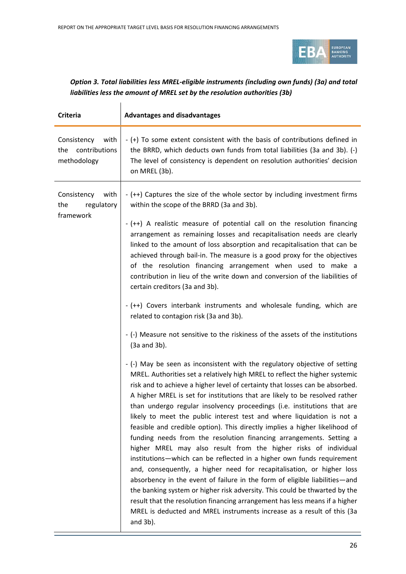

### *Option 3. Total liabilities less MREL-eligible instruments (including own funds) (3a) and total liabilities less the amount of MREL set by the resolution authorities (3b)*

| <b>Criteria</b>                                            | <b>Advantages and disadvantages</b>                                                                                                                                                                                                                                                                                                                                                                                                                                                                                                                                                                                                                                                                                                                                                                                                                                                                                                                                                                                                                                                                                                                                                          |
|------------------------------------------------------------|----------------------------------------------------------------------------------------------------------------------------------------------------------------------------------------------------------------------------------------------------------------------------------------------------------------------------------------------------------------------------------------------------------------------------------------------------------------------------------------------------------------------------------------------------------------------------------------------------------------------------------------------------------------------------------------------------------------------------------------------------------------------------------------------------------------------------------------------------------------------------------------------------------------------------------------------------------------------------------------------------------------------------------------------------------------------------------------------------------------------------------------------------------------------------------------------|
| Consistency<br>with<br>contributions<br>the<br>methodology | - (+) To some extent consistent with the basis of contributions defined in<br>the BRRD, which deducts own funds from total liabilities (3a and 3b). (-)<br>The level of consistency is dependent on resolution authorities' decision<br>on MREL (3b).                                                                                                                                                                                                                                                                                                                                                                                                                                                                                                                                                                                                                                                                                                                                                                                                                                                                                                                                        |
| Consistency<br>with<br>the<br>regulatory<br>framework      | - (++) Captures the size of the whole sector by including investment firms<br>within the scope of the BRRD (3a and 3b).                                                                                                                                                                                                                                                                                                                                                                                                                                                                                                                                                                                                                                                                                                                                                                                                                                                                                                                                                                                                                                                                      |
|                                                            | - (++) A realistic measure of potential call on the resolution financing<br>arrangement as remaining losses and recapitalisation needs are clearly<br>linked to the amount of loss absorption and recapitalisation that can be<br>achieved through bail-in. The measure is a good proxy for the objectives<br>of the resolution financing arrangement when used to make a<br>contribution in lieu of the write down and conversion of the liabilities of<br>certain creditors (3a and 3b).                                                                                                                                                                                                                                                                                                                                                                                                                                                                                                                                                                                                                                                                                                   |
|                                                            | - (++) Covers interbank instruments and wholesale funding, which are<br>related to contagion risk (3a and 3b).                                                                                                                                                                                                                                                                                                                                                                                                                                                                                                                                                                                                                                                                                                                                                                                                                                                                                                                                                                                                                                                                               |
|                                                            | - (-) Measure not sensitive to the riskiness of the assets of the institutions<br>$(3a$ and $3b)$ .                                                                                                                                                                                                                                                                                                                                                                                                                                                                                                                                                                                                                                                                                                                                                                                                                                                                                                                                                                                                                                                                                          |
|                                                            | - (-) May be seen as inconsistent with the regulatory objective of setting<br>MREL. Authorities set a relatively high MREL to reflect the higher systemic<br>risk and to achieve a higher level of certainty that losses can be absorbed.<br>A higher MREL is set for institutions that are likely to be resolved rather<br>than undergo regular insolvency proceedings (i.e. institutions that are<br>likely to meet the public interest test and where liquidation is not a<br>feasible and credible option). This directly implies a higher likelihood of<br>funding needs from the resolution financing arrangements. Setting a<br>higher MREL may also result from the higher risks of individual<br>institutions-which can be reflected in a higher own funds requirement<br>and, consequently, a higher need for recapitalisation, or higher loss<br>absorbency in the event of failure in the form of eligible liabilities—and<br>the banking system or higher risk adversity. This could be thwarted by the<br>result that the resolution financing arrangement has less means if a higher<br>MREL is deducted and MREL instruments increase as a result of this (3a<br>and $3b$ ). |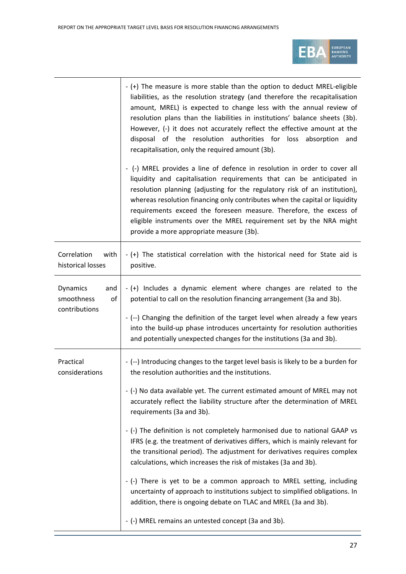

|                                                      | - (+) The measure is more stable than the option to deduct MREL-eligible<br>liabilities, as the resolution strategy (and therefore the recapitalisation<br>amount, MREL) is expected to change less with the annual review of<br>resolution plans than the liabilities in institutions' balance sheets (3b).<br>However, (-) it does not accurately reflect the effective amount at the<br>disposal of the resolution authorities for loss absorption and<br>recapitalisation, only the required amount (3b). |
|------------------------------------------------------|---------------------------------------------------------------------------------------------------------------------------------------------------------------------------------------------------------------------------------------------------------------------------------------------------------------------------------------------------------------------------------------------------------------------------------------------------------------------------------------------------------------|
|                                                      | - (-) MREL provides a line of defence in resolution in order to cover all<br>liquidity and capitalisation requirements that can be anticipated in<br>resolution planning (adjusting for the regulatory risk of an institution),<br>whereas resolution financing only contributes when the capital or liquidity<br>requirements exceed the foreseen measure. Therefore, the excess of<br>eligible instruments over the MREL requirement set by the NRA might<br>provide a more appropriate measure (3b).       |
| Correlation<br>with<br>historical losses             | - (+) The statistical correlation with the historical need for State aid is<br>positive.                                                                                                                                                                                                                                                                                                                                                                                                                      |
| Dynamics<br>and<br>smoothness<br>of<br>contributions | - (+) Includes a dynamic element where changes are related to the<br>potential to call on the resolution financing arrangement (3a and 3b).                                                                                                                                                                                                                                                                                                                                                                   |
|                                                      | - (--) Changing the definition of the target level when already a few years<br>into the build-up phase introduces uncertainty for resolution authorities<br>and potentially unexpected changes for the institutions (3a and 3b).                                                                                                                                                                                                                                                                              |
| Practical<br>considerations                          | - (--) Introducing changes to the target level basis is likely to be a burden for<br>the resolution authorities and the institutions.                                                                                                                                                                                                                                                                                                                                                                         |
|                                                      | - (-) No data available yet. The current estimated amount of MREL may not<br>accurately reflect the liability structure after the determination of MREL<br>requirements (3a and 3b).                                                                                                                                                                                                                                                                                                                          |
|                                                      | - (-) The definition is not completely harmonised due to national GAAP vs<br>IFRS (e.g. the treatment of derivatives differs, which is mainly relevant for<br>the transitional period). The adjustment for derivatives requires complex<br>calculations, which increases the risk of mistakes (3a and 3b).                                                                                                                                                                                                    |
|                                                      | - (-) There is yet to be a common approach to MREL setting, including<br>uncertainty of approach to institutions subject to simplified obligations. In<br>addition, there is ongoing debate on TLAC and MREL (3a and 3b).                                                                                                                                                                                                                                                                                     |
|                                                      | - (-) MREL remains an untested concept (3a and 3b).                                                                                                                                                                                                                                                                                                                                                                                                                                                           |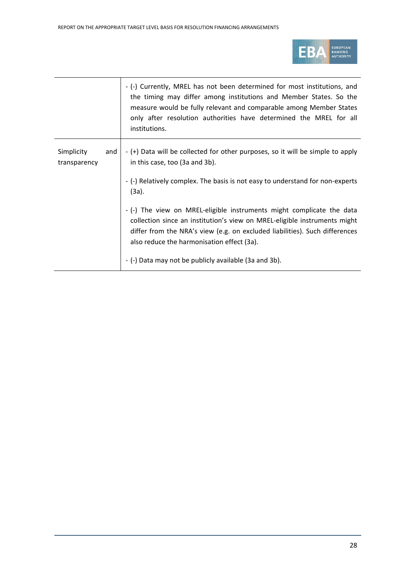

|                            |     | - (-) Currently, MREL has not been determined for most institutions, and<br>the timing may differ among institutions and Member States. So the<br>measure would be fully relevant and comparable among Member States<br>only after resolution authorities have determined the MREL for all<br>institutions.                              |
|----------------------------|-----|------------------------------------------------------------------------------------------------------------------------------------------------------------------------------------------------------------------------------------------------------------------------------------------------------------------------------------------|
| Simplicity<br>transparency | and | - (+) Data will be collected for other purposes, so it will be simple to apply<br>in this case, too (3a and 3b).<br>- (-) Relatively complex. The basis is not easy to understand for non-experts<br>$(3a)$ .                                                                                                                            |
|                            |     | - (-) The view on MREL-eligible instruments might complicate the data<br>collection since an institution's view on MREL-eligible instruments might<br>differ from the NRA's view (e.g. on excluded liabilities). Such differences<br>also reduce the harmonisation effect (3a).<br>- (-) Data may not be publicly available (3a and 3b). |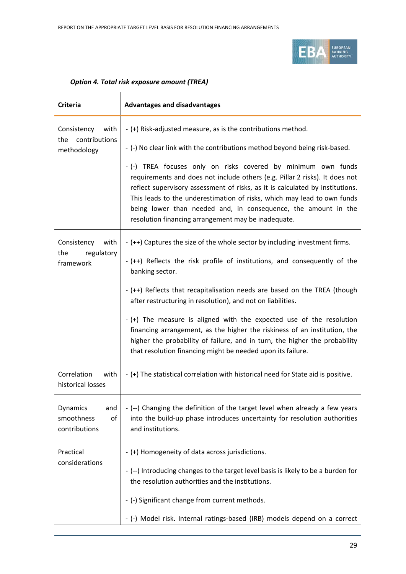

### *Option 4. Total risk exposure amount (TREA)*

| <b>Criteria</b>                                         | <b>Advantages and disadvantages</b>                                                                                                                                                                                                                                                                                                                                                                                                                                                                                                                                                                                       |
|---------------------------------------------------------|---------------------------------------------------------------------------------------------------------------------------------------------------------------------------------------------------------------------------------------------------------------------------------------------------------------------------------------------------------------------------------------------------------------------------------------------------------------------------------------------------------------------------------------------------------------------------------------------------------------------------|
| Consistency with<br>contributions<br>the<br>methodology | - (+) Risk-adjusted measure, as is the contributions method.<br>- (-) No clear link with the contributions method beyond being risk-based.<br>- (-) TREA focuses only on risks covered by minimum own funds<br>requirements and does not include others (e.g. Pillar 2 risks). It does not<br>reflect supervisory assessment of risks, as it is calculated by institutions.<br>This leads to the underestimation of risks, which may lead to own funds<br>being lower than needed and, in consequence, the amount in the<br>resolution financing arrangement may be inadequate.                                           |
| with<br>Consistency<br>regulatory<br>the<br>framework   | - (++) Captures the size of the whole sector by including investment firms.<br>- (++) Reflects the risk profile of institutions, and consequently of the<br>banking sector.<br>- (++) Reflects that recapitalisation needs are based on the TREA (though<br>after restructuring in resolution), and not on liabilities.<br>- (+) The measure is aligned with the expected use of the resolution<br>financing arrangement, as the higher the riskiness of an institution, the<br>higher the probability of failure, and in turn, the higher the probability<br>that resolution financing might be needed upon its failure. |
| Correlation<br>with<br>historical losses                | - (+) The statistical correlation with historical need for State aid is positive.                                                                                                                                                                                                                                                                                                                                                                                                                                                                                                                                         |
| Dynamics<br>and<br>smoothness<br>of<br>contributions    | - (--) Changing the definition of the target level when already a few years<br>into the build-up phase introduces uncertainty for resolution authorities<br>and institutions.                                                                                                                                                                                                                                                                                                                                                                                                                                             |
| Practical<br>considerations                             | - (+) Homogeneity of data across jurisdictions.<br>- (--) Introducing changes to the target level basis is likely to be a burden for<br>the resolution authorities and the institutions.<br>- (-) Significant change from current methods.<br>- (-) Model risk. Internal ratings-based (IRB) models depend on a correct                                                                                                                                                                                                                                                                                                   |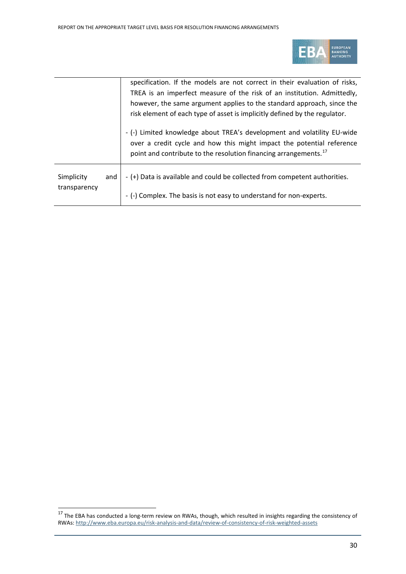

|              |     | specification. If the models are not correct in their evaluation of risks,   |
|--------------|-----|------------------------------------------------------------------------------|
|              |     | TREA is an imperfect measure of the risk of an institution. Admittedly,      |
|              |     | however, the same argument applies to the standard approach, since the       |
|              |     | risk element of each type of asset is implicitly defined by the regulator.   |
|              |     |                                                                              |
|              |     | - (-) Limited knowledge about TREA's development and volatility EU-wide      |
|              |     | over a credit cycle and how this might impact the potential reference        |
|              |     | point and contribute to the resolution financing arrangements. <sup>17</sup> |
|              |     |                                                                              |
| Simplicity   | and | - (+) Data is available and could be collected from competent authorities.   |
| transparency |     |                                                                              |
|              |     | - (-) Complex. The basis is not easy to understand for non-experts.          |

<span id="page-29-0"></span><sup>17&</sup>lt;br><sup>17</sup> The EBA has conducted a long-term review on RWAs, though, which resulted in insights regarding the consistency of RWAs[: http://www.eba.europa.eu/risk-analysis-and-data/review-of-consistency-of-risk-weighted-assets](http://www.eba.europa.eu/risk-analysis-and-data/review-of-consistency-of-risk-weighted-assets)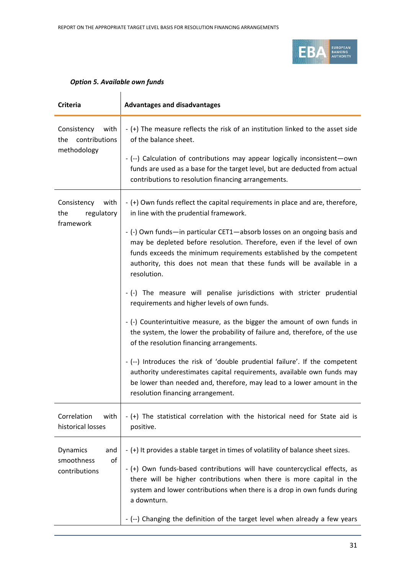

| <b>Criteria</b>                                            | <b>Advantages and disadvantages</b>                                                                                                                                                                                                                                                                                                                                                                                                                                                                                                                                                                                                                                                                                                                                                                                                                                                                                                                                                                                                                    |
|------------------------------------------------------------|--------------------------------------------------------------------------------------------------------------------------------------------------------------------------------------------------------------------------------------------------------------------------------------------------------------------------------------------------------------------------------------------------------------------------------------------------------------------------------------------------------------------------------------------------------------------------------------------------------------------------------------------------------------------------------------------------------------------------------------------------------------------------------------------------------------------------------------------------------------------------------------------------------------------------------------------------------------------------------------------------------------------------------------------------------|
| Consistency<br>with<br>contributions<br>the<br>methodology | - (+) The measure reflects the risk of an institution linked to the asset side<br>of the balance sheet.<br>- (--) Calculation of contributions may appear logically inconsistent-own<br>funds are used as a base for the target level, but are deducted from actual<br>contributions to resolution financing arrangements.                                                                                                                                                                                                                                                                                                                                                                                                                                                                                                                                                                                                                                                                                                                             |
| Consistency<br>with<br>the<br>regulatory<br>framework      | - (+) Own funds reflect the capital requirements in place and are, therefore,<br>in line with the prudential framework.<br>- (-) Own funds-in particular CET1-absorb losses on an ongoing basis and<br>may be depleted before resolution. Therefore, even if the level of own<br>funds exceeds the minimum requirements established by the competent<br>authority, this does not mean that these funds will be available in a<br>resolution.<br>- (-) The measure will penalise jurisdictions with stricter prudential<br>requirements and higher levels of own funds.<br>- (-) Counterintuitive measure, as the bigger the amount of own funds in<br>the system, the lower the probability of failure and, therefore, of the use<br>of the resolution financing arrangements.<br>- (--) Introduces the risk of 'double prudential failure'. If the competent<br>authority underestimates capital requirements, available own funds may<br>be lower than needed and, therefore, may lead to a lower amount in the<br>resolution financing arrangement. |
| Correlation<br>with<br>historical losses                   | - (+) The statistical correlation with the historical need for State aid is<br>positive.                                                                                                                                                                                                                                                                                                                                                                                                                                                                                                                                                                                                                                                                                                                                                                                                                                                                                                                                                               |
| Dynamics<br>and<br>smoothness<br>of<br>contributions       | - (+) It provides a stable target in times of volatility of balance sheet sizes.<br>- (+) Own funds-based contributions will have countercyclical effects, as<br>there will be higher contributions when there is more capital in the<br>system and lower contributions when there is a drop in own funds during<br>a downturn.<br>- (--) Changing the definition of the target level when already a few years                                                                                                                                                                                                                                                                                                                                                                                                                                                                                                                                                                                                                                         |

### *Option 5. Available own funds*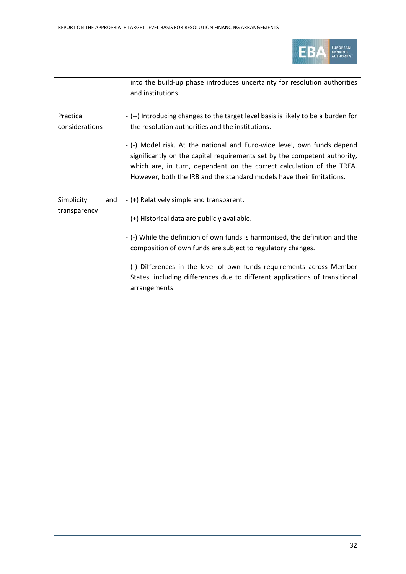

|                             | into the build-up phase introduces uncertainty for resolution authorities<br>and institutions.                                                                                                                                                                                                         |
|-----------------------------|--------------------------------------------------------------------------------------------------------------------------------------------------------------------------------------------------------------------------------------------------------------------------------------------------------|
| Practical<br>considerations | - (--) Introducing changes to the target level basis is likely to be a burden for<br>the resolution authorities and the institutions.                                                                                                                                                                  |
|                             | - (-) Model risk. At the national and Euro-wide level, own funds depend<br>significantly on the capital requirements set by the competent authority,<br>which are, in turn, dependent on the correct calculation of the TREA.<br>However, both the IRB and the standard models have their limitations. |
| Simplicity<br>and           | - (+) Relatively simple and transparent.                                                                                                                                                                                                                                                               |
| transparency                | - (+) Historical data are publicly available.                                                                                                                                                                                                                                                          |
|                             | - (-) While the definition of own funds is harmonised, the definition and the<br>composition of own funds are subject to regulatory changes.                                                                                                                                                           |
|                             |                                                                                                                                                                                                                                                                                                        |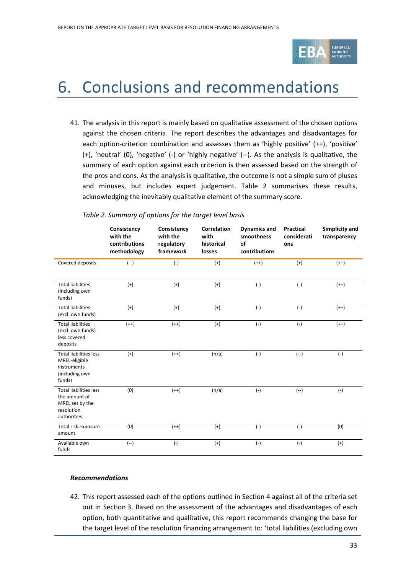

## <span id="page-32-0"></span>6. Conclusions and recommendations

41. The analysis in this report is mainly based on qualitative assessment of the chosen options against the chosen criteria. The report describes the advantages and disadvantages for each option-criterion combination and assesses them as 'highly positive' (++), 'positive' (+), 'neutral' (0), 'negative' (-) or 'highly negative' (--). As the analysis is qualitative, the summary of each option against each criterion is then assessed based on the strength of the pros and cons. As the analysis is qualitative, the outcome is not a simple sum of pluses and minuses, but includes expert judgement. Table 2 summarises these results, acknowledging the inevitably qualitative element of the summary score.

|                                                                                                | Consistency<br>with the<br>contributions<br>methodology | Consistency<br>with the<br>regulatory<br>framework | <b>Correlation</b><br>with<br>historical<br>losses | <b>Dynamics and</b><br>smoothness<br>of<br>contributions | <b>Practical</b><br>considerati<br>ons | <b>Simplicity and</b><br>transparency |
|------------------------------------------------------------------------------------------------|---------------------------------------------------------|----------------------------------------------------|----------------------------------------------------|----------------------------------------------------------|----------------------------------------|---------------------------------------|
| Covered deposits                                                                               | $(-)$                                                   | $(-)$                                              | $(+)$                                              | $(++)$                                                   | $(+)$                                  | $(++)$                                |
| <b>Total liabilities</b><br>(including own<br>funds)                                           | $(+)$                                                   | $(+)$                                              | $(+)$                                              | $(-)$                                                    | $(-)$                                  | $(++)$                                |
| <b>Total liabilities</b><br>(excl. own funds)                                                  | $(+)$                                                   | $(+)$                                              | $(+)$                                              | $(-)$                                                    | $(-)$                                  | $(++)$                                |
| <b>Total liabilities</b><br>(excl. own funds)<br>less covered<br>deposits                      | $(++)$                                                  | $(++)$                                             | $(+)$                                              | $(-)$                                                    | $(-)$                                  | $(++)$                                |
| <b>Total liabilities less</b><br>MREL-eligible<br>instruments<br>(including own<br>funds)      | $(+)$                                                   | $(++)$                                             | (n/a)                                              | $(-)$                                                    | $(-)$                                  | $(-)$                                 |
| <b>Total liabilities less</b><br>the amount of<br>MREL set by the<br>resolution<br>authorities | (0)                                                     | $(++)$                                             | (n/a)                                              | $(-)$                                                    | $(-)$                                  | $(-)$                                 |
| Total risk exposure<br>amount                                                                  | (0)                                                     | $(++)$                                             | $(+)$                                              | $(-)$                                                    | $(-)$                                  | (0)                                   |
| Available own<br>funds                                                                         | $(-)$                                                   | $(-)$                                              | $(+)$                                              | $(-)$                                                    | $(-)$                                  | $(+)$                                 |

### *Table 2. Summary of options for the target level basis*

#### *Recommendations*

42. This report assessed each of the options outlined in Section 4 against all of the criteria set out in Section 3. Based on the assessment of the advantages and disadvantages of each option, both quantitative and qualitative, this report recommends changing the base for the target level of the resolution financing arrangement to: 'total liabilities (excluding own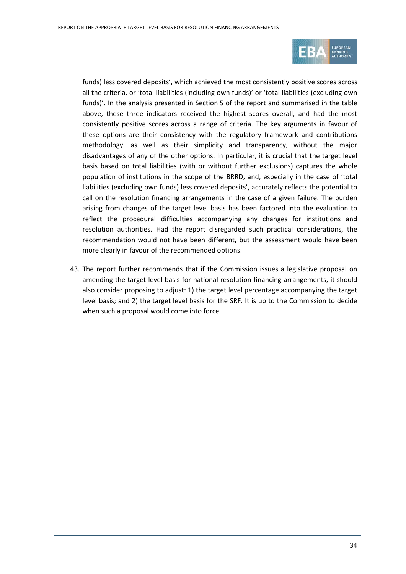

funds) less covered deposits', which achieved the most consistently positive scores across all the criteria, or 'total liabilities (including own funds)' or 'total liabilities (excluding own funds)'. In the analysis presented in Section 5 of the report and summarised in the table above, these three indicators received the highest scores overall, and had the most consistently positive scores across a range of criteria. The key arguments in favour of these options are their consistency with the regulatory framework and contributions methodology, as well as their simplicity and transparency, without the major disadvantages of any of the other options. In particular, it is crucial that the target level basis based on total liabilities (with or without further exclusions) captures the whole population of institutions in the scope of the BRRD, and, especially in the case of 'total liabilities (excluding own funds) less covered deposits', accurately reflects the potential to call on the resolution financing arrangements in the case of a given failure. The burden arising from changes of the target level basis has been factored into the evaluation to reflect the procedural difficulties accompanying any changes for institutions and resolution authorities. Had the report disregarded such practical considerations, the recommendation would not have been different, but the assessment would have been more clearly in favour of the recommended options.

43. The report further recommends that if the Commission issues a legislative proposal on amending the target level basis for national resolution financing arrangements, it should also consider proposing to adjust: 1) the target level percentage accompanying the target level basis; and 2) the target level basis for the SRF. It is up to the Commission to decide when such a proposal would come into force.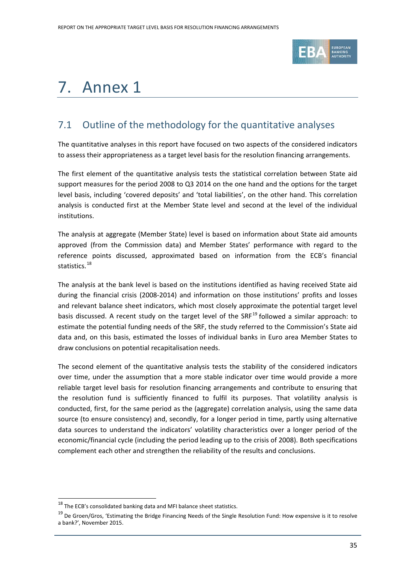

# <span id="page-34-0"></span>7. Annex 1

## 7.1 Outline of the methodology for the quantitative analyses

The quantitative analyses in this report have focused on two aspects of the considered indicators to assess their appropriateness as a target level basis for the resolution financing arrangements.

The first element of the quantitative analysis tests the statistical correlation between State aid support measures for the period 2008 to Q3 2014 on the one hand and the options for the target level basis, including 'covered deposits' and 'total liabilities', on the other hand. This correlation analysis is conducted first at the Member State level and second at the level of the individual institutions.

The analysis at aggregate (Member State) level is based on information about State aid amounts approved (from the Commission data) and Member States' performance with regard to the reference points discussed, approximated based on information from the ECB's financial statistics. [18](#page-34-1)

The analysis at the bank level is based on the institutions identified as having received State aid during the financial crisis (2008-2014) and information on those institutions' profits and losses and relevant balance sheet indicators, which most closely approximate the potential target level basis discussed. A recent study on the target level of the SRF<sup>[19](#page-34-2)</sup> followed a similar approach: to estimate the potential funding needs of the SRF, the study referred to the Commission's State aid data and, on this basis, estimated the losses of individual banks in Euro area Member States to draw conclusions on potential recapitalisation needs.

The second element of the quantitative analysis tests the stability of the considered indicators over time, under the assumption that a more stable indicator over time would provide a more reliable target level basis for resolution financing arrangements and contribute to ensuring that the resolution fund is sufficiently financed to fulfil its purposes. That volatility analysis is conducted, first, for the same period as the (aggregate) correlation analysis, using the same data source (to ensure consistency) and, secondly, for a longer period in time, partly using alternative data sources to understand the indicators' volatility characteristics over a longer period of the economic/financial cycle (including the period leading up to the crisis of 2008). Both specifications complement each other and strengthen the reliability of the results and conclusions.

<span id="page-34-1"></span> $^{18}$  The ECB's consolidated banking data and MFI balance sheet statistics.

<span id="page-34-2"></span><sup>&</sup>lt;sup>19</sup> De Groen/Gros, 'Estimating the Bridge Financing Needs of the Single Resolution Fund: How expensive is it to resolve a bank?', November 2015.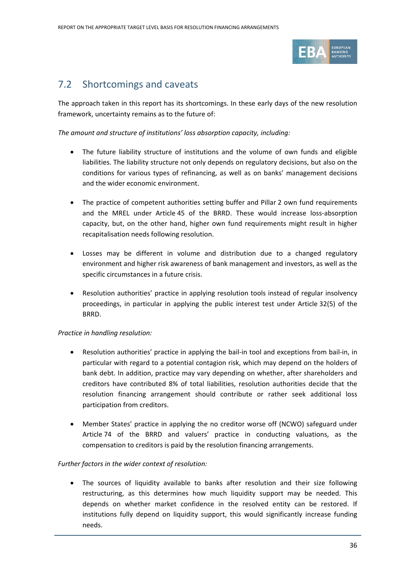

## 7.2 Shortcomings and caveats

The approach taken in this report has its shortcomings. In these early days of the new resolution framework, uncertainty remains as to the future of:

*The amount and structure of institutions' loss absorption capacity, including:*

- The future liability structure of institutions and the volume of own funds and eligible liabilities. The liability structure not only depends on regulatory decisions, but also on the conditions for various types of refinancing, as well as on banks' management decisions and the wider economic environment.
- The practice of competent authorities setting buffer and Pillar 2 own fund requirements and the MREL under Article 45 of the BRRD. These would increase loss-absorption capacity, but, on the other hand, higher own fund requirements might result in higher recapitalisation needs following resolution.
- Losses may be different in volume and distribution due to a changed regulatory environment and higher risk awareness of bank management and investors, as well as the specific circumstances in a future crisis.
- Resolution authorities' practice in applying resolution tools instead of regular insolvency proceedings, in particular in applying the public interest test under Article 32(5) of the BRRD.

### *Practice in handling resolution:*

- Resolution authorities' practice in applying the bail-in tool and exceptions from bail-in, in particular with regard to a potential contagion risk, which may depend on the holders of bank debt. In addition, practice may vary depending on whether, after shareholders and creditors have contributed 8% of total liabilities, resolution authorities decide that the resolution financing arrangement should contribute or rather seek additional loss participation from creditors.
- Member States' practice in applying the no creditor worse off (NCWO) safeguard under Article 74 of the BRRD and valuers' practice in conducting valuations, as the compensation to creditors is paid by the resolution financing arrangements.

### *Further factors in the wider context of resolution:*

• The sources of liquidity available to banks after resolution and their size following restructuring, as this determines how much liquidity support may be needed. This depends on whether market confidence in the resolved entity can be restored. If institutions fully depend on liquidity support, this would significantly increase funding needs.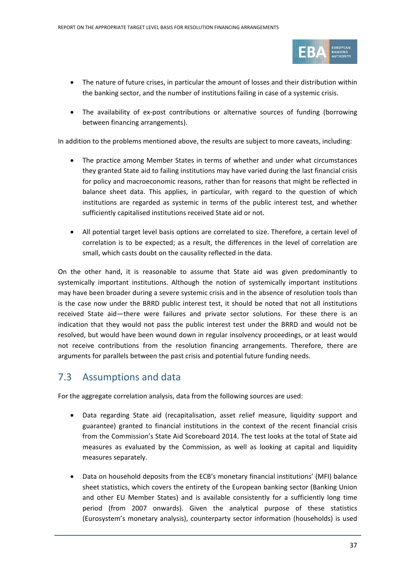

- The nature of future crises, in particular the amount of losses and their distribution within the banking sector, and the number of institutions failing in case of a systemic crisis.
- The availability of ex-post contributions or alternative sources of funding (borrowing between financing arrangements).

In addition to the problems mentioned above, the results are subject to more caveats, including:

- The practice among Member States in terms of whether and under what circumstances they granted State aid to failing institutions may have varied during the last financial crisis for policy and macroeconomic reasons, rather than for reasons that might be reflected in balance sheet data. This applies, in particular, with regard to the question of which institutions are regarded as systemic in terms of the public interest test, and whether sufficiently capitalised institutions received State aid or not.
- All potential target level basis options are correlated to size. Therefore, a certain level of correlation is to be expected; as a result, the differences in the level of correlation are small, which casts doubt on the causality reflected in the data.

On the other hand, it is reasonable to assume that State aid was given predominantly to systemically important institutions. Although the notion of systemically important institutions may have been broader during a severe systemic crisis and in the absence of resolution tools than is the case now under the BRRD public interest test, it should be noted that not all institutions received State aid—there were failures and private sector solutions. For these there is an indication that they would not pass the public interest test under the BRRD and would not be resolved, but would have been wound down in regular insolvency proceedings, or at least would not receive contributions from the resolution financing arrangements. Therefore, there are arguments for parallels between the past crisis and potential future funding needs.

## 7.3 Assumptions and data

For the aggregate correlation analysis, data from the following sources are used:

- Data regarding State aid (recapitalisation, asset relief measure, liquidity support and guarantee) granted to financial institutions in the context of the recent financial crisis from the Commission's State Aid Scoreboard 2014. The test looks at the total of State aid measures as evaluated by the Commission, as well as looking at capital and liquidity measures separately.
- Data on household deposits from the ECB's monetary financial institutions' (MFI) balance sheet statistics, which covers the entirety of the European banking sector (Banking Union and other EU Member States) and is available consistently for a sufficiently long time period (from 2007 onwards). Given the analytical purpose of these statistics (Eurosystem's monetary analysis), counterparty sector information (households) is used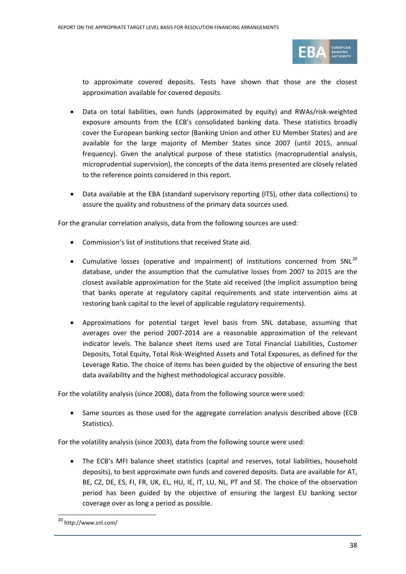

to approximate covered deposits. Tests have shown that those are the closest approximation available for covered deposits.

- Data on total liabilities, own funds (approximated by equity) and RWAs/risk-weighted exposure amounts from the ECB's consolidated banking data. These statistics broadly cover the European banking sector (Banking Union and other EU Member States) and are available for the large majority of Member States since 2007 (until 2015, annual frequency). Given the analytical purpose of these statistics (macroprudential analysis, microprudential supervision), the concepts of the data items presented are closely related to the reference points considered in this report.
- Data available at the EBA (standard supervisory reporting (ITS), other data collections) to assure the quality and robustness of the primary data sources used.

For the granular correlation analysis, data from the following sources are used:

- Commission's list of institutions that received State aid.
- Cumulative losses (operative and impairment) of institutions concerned from SNL<sup>[20](#page-37-0)</sup> database, under the assumption that the cumulative losses from 2007 to 2015 are the closest available approximation for the State aid received (the implicit assumption being that banks operate at regulatory capital requirements and state intervention aims at restoring bank capital to the level of applicable regulatory requirements).
- Approximations for potential target level basis from SNL database, assuming that averages over the period 2007-2014 are a reasonable approximation of the relevant indicator levels. The balance sheet items used are Total Financial Liabilities, Customer Deposits, Total Equity, Total Risk-Weighted Assets and Total Exposures, as defined for the Leverage Ratio. The choice of items has been guided by the objective of ensuring the best data availability and the highest methodological accuracy possible.

For the volatility analysis (since 2008), data from the following source were used:

• Same sources as those used for the aggregate correlation analysis described above (ECB Statistics).

For the volatility analysis (since 2003), data from the following source were used:

• The ECB's MFI balance sheet statistics (capital and reserves, total liabilities, household deposits), to best approximate own funds and covered deposits. Data are available for AT, BE, CZ, DE, ES, FI, FR, UK, EL, HU, IE, IT, LU, NL, PT and SE. The choice of the observation period has been guided by the objective of ensuring the largest EU banking sector coverage over as long a period as possible.

<span id="page-37-0"></span><sup>20</sup> http://www.snl.com/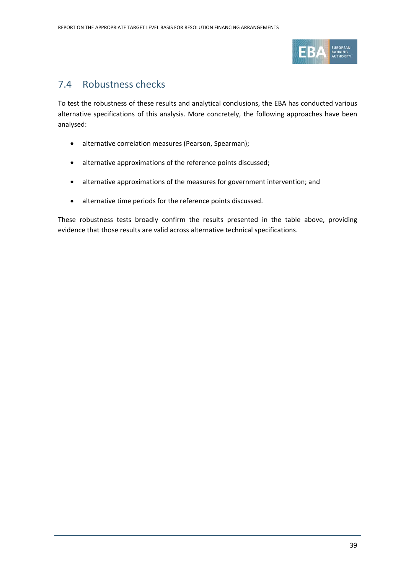

## 7.4 Robustness checks

To test the robustness of these results and analytical conclusions, the EBA has conducted various alternative specifications of this analysis. More concretely, the following approaches have been analysed:

- alternative correlation measures (Pearson, Spearman);
- alternative approximations of the reference points discussed;
- alternative approximations of the measures for government intervention; and
- alternative time periods for the reference points discussed.

These robustness tests broadly confirm the results presented in the table above, providing evidence that those results are valid across alternative technical specifications.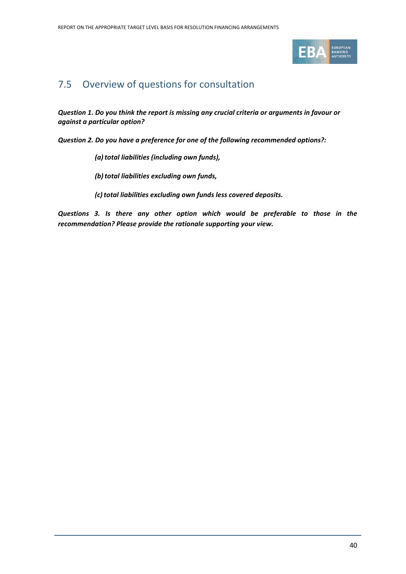

## 7.5 Overview of questions for consultation

*Question 1. Do you think the report is missing any crucial criteria or arguments in favour or against a particular option?*

*Question 2. Do you have a preference for one of the following recommended options?:* 

- *(a)total liabilities (including own funds),*
- *(b) total liabilities excluding own funds,*
- *(c)total liabilities excluding own funds less covered deposits.*

*Questions 3. Is there any other option which would be preferable to those in the recommendation? Please provide the rationale supporting your view.*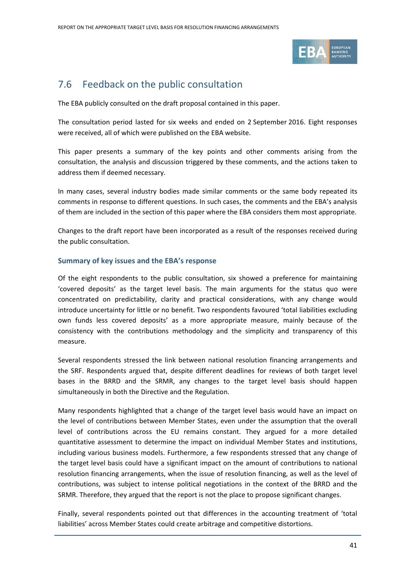

## 7.6 Feedback on the public consultation

The EBA publicly consulted on the draft proposal contained in this paper.

The consultation period lasted for six weeks and ended on 2 September 2016. Eight responses were received, all of which were published on the EBA website.

This paper presents a summary of the key points and other comments arising from the consultation, the analysis and discussion triggered by these comments, and the actions taken to address them if deemed necessary.

In many cases, several industry bodies made similar comments or the same body repeated its comments in response to different questions. In such cases, the comments and the EBA's analysis of them are included in the section of this paper where the EBA considers them most appropriate.

Changes to the draft report have been incorporated as a result of the responses received during the public consultation.

### **Summary of key issues and the EBA's response**

Of the eight respondents to the public consultation, six showed a preference for maintaining 'covered deposits' as the target level basis. The main arguments for the status quo were concentrated on predictability, clarity and practical considerations, with any change would introduce uncertainty for little or no benefit. Two respondents favoured 'total liabilities excluding own funds less covered deposits' as a more appropriate measure, mainly because of the consistency with the contributions methodology and the simplicity and transparency of this measure.

Several respondents stressed the link between national resolution financing arrangements and the SRF. Respondents argued that, despite different deadlines for reviews of both target level bases in the BRRD and the SRMR, any changes to the target level basis should happen simultaneously in both the Directive and the Regulation.

Many respondents highlighted that a change of the target level basis would have an impact on the level of contributions between Member States, even under the assumption that the overall level of contributions across the EU remains constant. They argued for a more detailed quantitative assessment to determine the impact on individual Member States and institutions, including various business models. Furthermore, a few respondents stressed that any change of the target level basis could have a significant impact on the amount of contributions to national resolution financing arrangements, when the issue of resolution financing, as well as the level of contributions, was subject to intense political negotiations in the context of the BRRD and the SRMR. Therefore, they argued that the report is not the place to propose significant changes.

Finally, several respondents pointed out that differences in the accounting treatment of 'total liabilities' across Member States could create arbitrage and competitive distortions.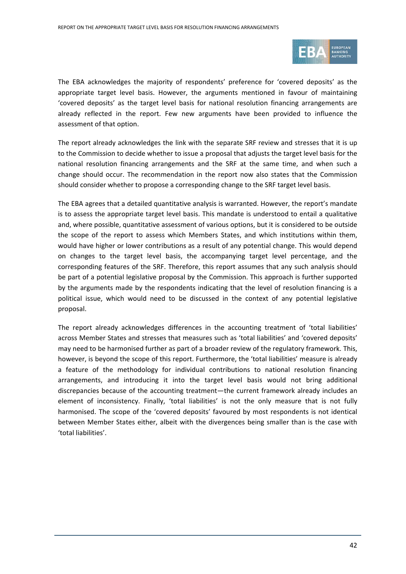

The EBA acknowledges the majority of respondents' preference for 'covered deposits' as the appropriate target level basis. However, the arguments mentioned in favour of maintaining 'covered deposits' as the target level basis for national resolution financing arrangements are already reflected in the report. Few new arguments have been provided to influence the assessment of that option.

The report already acknowledges the link with the separate SRF review and stresses that it is up to the Commission to decide whether to issue a proposal that adjusts the target level basis for the national resolution financing arrangements and the SRF at the same time, and when such a change should occur. The recommendation in the report now also states that the Commission should consider whether to propose a corresponding change to the SRF target level basis.

The EBA agrees that a detailed quantitative analysis is warranted. However, the report's mandate is to assess the appropriate target level basis. This mandate is understood to entail a qualitative and, where possible, quantitative assessment of various options, but it is considered to be outside the scope of the report to assess which Members States, and which institutions within them, would have higher or lower contributions as a result of any potential change. This would depend on changes to the target level basis, the accompanying target level percentage, and the corresponding features of the SRF. Therefore, this report assumes that any such analysis should be part of a potential legislative proposal by the Commission. This approach is further supported by the arguments made by the respondents indicating that the level of resolution financing is a political issue, which would need to be discussed in the context of any potential legislative proposal.

The report already acknowledges differences in the accounting treatment of 'total liabilities' across Member States and stresses that measures such as 'total liabilities' and 'covered deposits' may need to be harmonised further as part of a broader review of the regulatory framework. This, however, is beyond the scope of this report. Furthermore, the 'total liabilities' measure is already a feature of the methodology for individual contributions to national resolution financing arrangements, and introducing it into the target level basis would not bring additional discrepancies because of the accounting treatment—the current framework already includes an element of inconsistency. Finally, 'total liabilities' is not the only measure that is not fully harmonised. The scope of the 'covered deposits' favoured by most respondents is not identical between Member States either, albeit with the divergences being smaller than is the case with 'total liabilities'.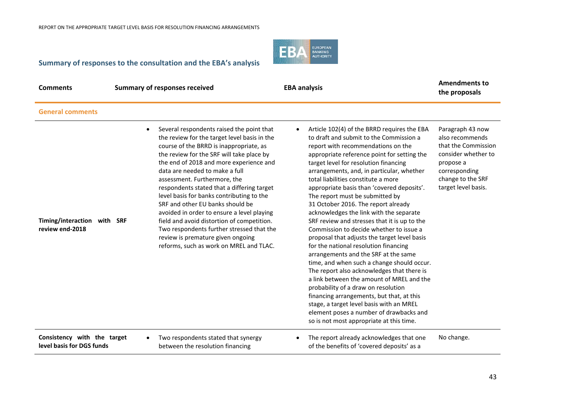

### **Summary of responses to the consultation and the EBA's analysis**

| Comments |  |
|----------|--|
|----------|--|

**General comments**

**Comments Comments Comments Comments Comments Comments Comments Comments Comments Comments Comments Comments Comments Comments Comments Comments Comments Comments Comments Comments C** 

**the proposals**

| Timing/interaction with SRF<br>review end-2018 | Several respondents raised the point that<br>the review for the target level basis in the<br>course of the BRRD is inappropriate, as<br>the review for the SRF will take place by<br>the end of 2018 and more experience and<br>data are needed to make a full<br>assessment. Furthermore, the<br>respondents stated that a differing target<br>level basis for banks contributing to the<br>SRF and other EU banks should be<br>avoided in order to ensure a level playing<br>field and avoid distortion of competition.<br>Two respondents further stressed that the<br>review is premature given ongoing<br>reforms, such as work on MREL and TLAC. | Article 102(4) of the BRRD requires the EBA<br>to draft and submit to the Commission a<br>report with recommendations on the<br>appropriate reference point for setting the<br>target level for resolution financing<br>arrangements, and, in particular, whether<br>total liabilities constitute a more<br>appropriate basis than 'covered deposits'.<br>The report must be submitted by<br>31 October 2016. The report already<br>acknowledges the link with the separate<br>SRF review and stresses that it is up to the<br>Commission to decide whether to issue a<br>proposal that adjusts the target level basis<br>for the national resolution financing<br>arrangements and the SRF at the same<br>time, and when such a change should occur.<br>The report also acknowledges that there is<br>a link between the amount of MREL and the<br>probability of a draw on resolution<br>financing arrangements, but that, at this<br>stage, a target level basis with an MREL<br>element poses a number of drawbacks and<br>so is not most appropriate at this time. | Paragraph 43 now<br>also recommends<br>that the Commission<br>consider whether to<br>propose a<br>corresponding<br>change to the SRF<br>target level basis. |
|------------------------------------------------|--------------------------------------------------------------------------------------------------------------------------------------------------------------------------------------------------------------------------------------------------------------------------------------------------------------------------------------------------------------------------------------------------------------------------------------------------------------------------------------------------------------------------------------------------------------------------------------------------------------------------------------------------------|-------------------------------------------------------------------------------------------------------------------------------------------------------------------------------------------------------------------------------------------------------------------------------------------------------------------------------------------------------------------------------------------------------------------------------------------------------------------------------------------------------------------------------------------------------------------------------------------------------------------------------------------------------------------------------------------------------------------------------------------------------------------------------------------------------------------------------------------------------------------------------------------------------------------------------------------------------------------------------------------------------------------------------------------------------------------------|-------------------------------------------------------------------------------------------------------------------------------------------------------------|
| Consistency with the target                    | Two respondents stated that synergy                                                                                                                                                                                                                                                                                                                                                                                                                                                                                                                                                                                                                    | The report already acknowledges that one                                                                                                                                                                                                                                                                                                                                                                                                                                                                                                                                                                                                                                                                                                                                                                                                                                                                                                                                                                                                                                | No change.                                                                                                                                                  |
| level basis for DGS funds                      | between the resolution financing                                                                                                                                                                                                                                                                                                                                                                                                                                                                                                                                                                                                                       | of the benefits of 'covered deposits' as a                                                                                                                                                                                                                                                                                                                                                                                                                                                                                                                                                                                                                                                                                                                                                                                                                                                                                                                                                                                                                              |                                                                                                                                                             |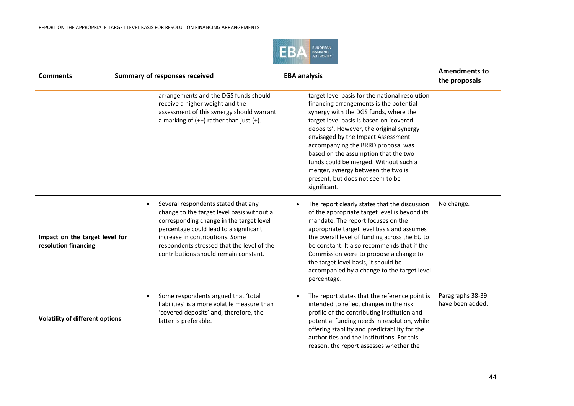

| <b>Comments</b>                                        | <b>Summary of responses received</b>                                                                                                                                                                                                                                                                           | <b>EBA analysis</b>                                                                                                                                                                                                                                                                                                                                                                                                                                                              | <b>Amendments to</b><br>the proposals |
|--------------------------------------------------------|----------------------------------------------------------------------------------------------------------------------------------------------------------------------------------------------------------------------------------------------------------------------------------------------------------------|----------------------------------------------------------------------------------------------------------------------------------------------------------------------------------------------------------------------------------------------------------------------------------------------------------------------------------------------------------------------------------------------------------------------------------------------------------------------------------|---------------------------------------|
|                                                        | arrangements and the DGS funds should<br>receive a higher weight and the<br>assessment of this synergy should warrant<br>a marking of $(++)$ rather than just $(+)$ .                                                                                                                                          | target level basis for the national resolution<br>financing arrangements is the potential<br>synergy with the DGS funds, where the<br>target level basis is based on 'covered<br>deposits'. However, the original synergy<br>envisaged by the Impact Assessment<br>accompanying the BRRD proposal was<br>based on the assumption that the two<br>funds could be merged. Without such a<br>merger, synergy between the two is<br>present, but does not seem to be<br>significant. |                                       |
| Impact on the target level for<br>resolution financing | Several respondents stated that any<br>$\bullet$<br>change to the target level basis without a<br>corresponding change in the target level<br>percentage could lead to a significant<br>increase in contributions. Some<br>respondents stressed that the level of the<br>contributions should remain constant. | The report clearly states that the discussion<br>of the appropriate target level is beyond its<br>mandate. The report focuses on the<br>appropriate target level basis and assumes<br>the overall level of funding across the EU to<br>be constant. It also recommends that if the<br>Commission were to propose a change to<br>the target level basis, it should be<br>accompanied by a change to the target level<br>percentage.                                               | No change.                            |
| <b>Volatility of different options</b>                 | Some respondents argued that 'total<br>$\bullet$<br>liabilities' is a more volatile measure than<br>'covered deposits' and, therefore, the<br>latter is preferable.                                                                                                                                            | The report states that the reference point is<br>intended to reflect changes in the risk<br>profile of the contributing institution and<br>potential funding needs in resolution, while<br>offering stability and predictability for the<br>authorities and the institutions. For this<br>reason, the report assesses whether the                                                                                                                                                | Paragraphs 38-39<br>have been added.  |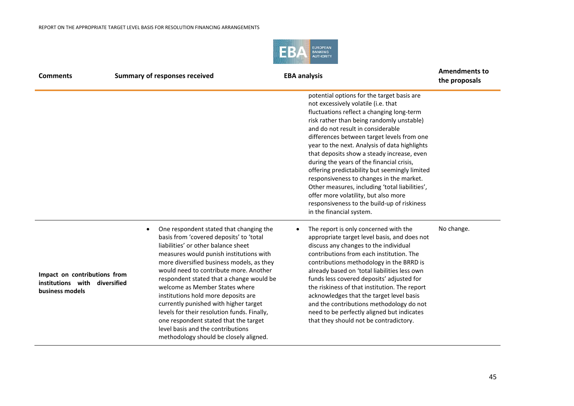

| <b>Comments</b><br><b>Summary of responses received</b>                          |                                                                                                                                                                                                                                                                                                                                                                                                                                                                                                                                                                                                               | <b>EBA analysis</b>                                                                                                                                                                                                                                                                                                                                                                                                                                                                                                                                                                                                                                                          | <b>Amendments to</b><br>the proposals |
|----------------------------------------------------------------------------------|---------------------------------------------------------------------------------------------------------------------------------------------------------------------------------------------------------------------------------------------------------------------------------------------------------------------------------------------------------------------------------------------------------------------------------------------------------------------------------------------------------------------------------------------------------------------------------------------------------------|------------------------------------------------------------------------------------------------------------------------------------------------------------------------------------------------------------------------------------------------------------------------------------------------------------------------------------------------------------------------------------------------------------------------------------------------------------------------------------------------------------------------------------------------------------------------------------------------------------------------------------------------------------------------------|---------------------------------------|
|                                                                                  |                                                                                                                                                                                                                                                                                                                                                                                                                                                                                                                                                                                                               | potential options for the target basis are<br>not excessively volatile (i.e. that<br>fluctuations reflect a changing long-term<br>risk rather than being randomly unstable)<br>and do not result in considerable<br>differences between target levels from one<br>year to the next. Analysis of data highlights<br>that deposits show a steady increase, even<br>during the years of the financial crisis,<br>offering predictability but seemingly limited<br>responsiveness to changes in the market.<br>Other measures, including 'total liabilities',<br>offer more volatility, but also more<br>responsiveness to the build-up of riskiness<br>in the financial system. |                                       |
| Impact on contributions from<br>institutions with diversified<br>business models | One respondent stated that changing the<br>$\bullet$<br>basis from 'covered deposits' to 'total<br>liabilities' or other balance sheet<br>measures would punish institutions with<br>more diversified business models, as they<br>would need to contribute more. Another<br>respondent stated that a change would be<br>welcome as Member States where<br>institutions hold more deposits are<br>currently punished with higher target<br>levels for their resolution funds. Finally,<br>one respondent stated that the target<br>level basis and the contributions<br>methodology should be closely aligned. | The report is only concerned with the<br>appropriate target level basis, and does not<br>discuss any changes to the individual<br>contributions from each institution. The<br>contributions methodology in the BRRD is<br>already based on 'total liabilities less own<br>funds less covered deposits' adjusted for<br>the riskiness of that institution. The report<br>acknowledges that the target level basis<br>and the contributions methodology do not<br>need to be perfectly aligned but indicates<br>that they should not be contradictory.                                                                                                                         | No change.                            |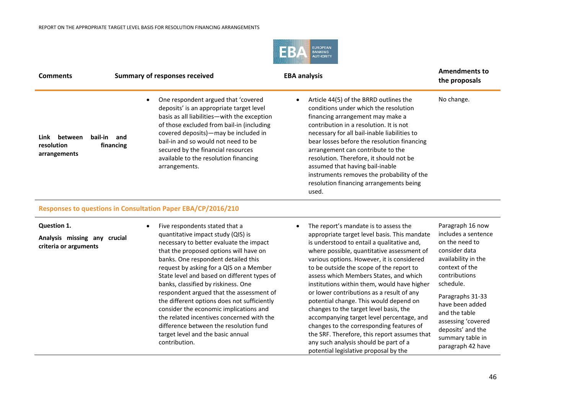

| <b>Comments</b>                               |                             | <b>Summary of responses received</b>                                                                                                                                                                                                                                                                                                                           | <b>EBA analysis</b>                                                                                                                                                                                                                                                                                                                                                                                                                                                                | <b>Amendments to</b><br>the proposals |
|-----------------------------------------------|-----------------------------|----------------------------------------------------------------------------------------------------------------------------------------------------------------------------------------------------------------------------------------------------------------------------------------------------------------------------------------------------------------|------------------------------------------------------------------------------------------------------------------------------------------------------------------------------------------------------------------------------------------------------------------------------------------------------------------------------------------------------------------------------------------------------------------------------------------------------------------------------------|---------------------------------------|
| Link<br>between<br>resolution<br>arrangements | bail-in<br>and<br>financing | One respondent argued that 'covered<br>deposits' is an appropriate target level<br>basis as all liabilities - with the exception<br>of those excluded from bail-in (including<br>covered deposits) - may be included in<br>bail-in and so would not need to be<br>secured by the financial resources<br>available to the resolution financing<br>arrangements. | Article 44(5) of the BRRD outlines the<br>conditions under which the resolution<br>financing arrangement may make a<br>contribution in a resolution. It is not<br>necessary for all bail-inable liabilities to<br>bear losses before the resolution financing<br>arrangement can contribute to the<br>resolution. Therefore, it should not be<br>assumed that having bail-inable<br>instruments removes the probability of the<br>resolution financing arrangements being<br>used. | No change.                            |

#### **Responses to questions in Consultation Paper EBA/CP/2016/210**

| Question 1. |  |
|-------------|--|
|-------------|--|

**Analysis missing any crucial criteria or arguments**

- Five respondents stated that a quantitative impact study (QIS) is necessary to better evaluate the impact that the proposed options will have on banks. One respondent detailed this request by asking for a QIS on a Member State level and based on different types of banks, classified by riskiness. One respondent argued that the assessment of the different options does not sufficiently consider the economic implications and the related incentives concerned with the difference between the resolution fund target level and the basic annual contribution.
- The report's mandate is to assess the appropriate target level basis. This mandate is understood to entail a qualitative and, where possible, quantitative assessment of various options. However, it is considered to be outside the scope of the report to assess which Members States, and which institutions within them, would have higher or lower contributions as a result of any potential change. This would depend on changes to the target level basis, the accompanying target level percentage, and changes to the corresponding features of the SRF. Therefore, this report assumes that any such analysis should be part of a potential legislative proposal by the
- Paragraph 16 now includes a sentence on the need to consider data availability in the context of the contributions schedule.
- Paragraphs 31-33 have been added and the table assessing 'covered deposits' and the summary table in paragraph 42 have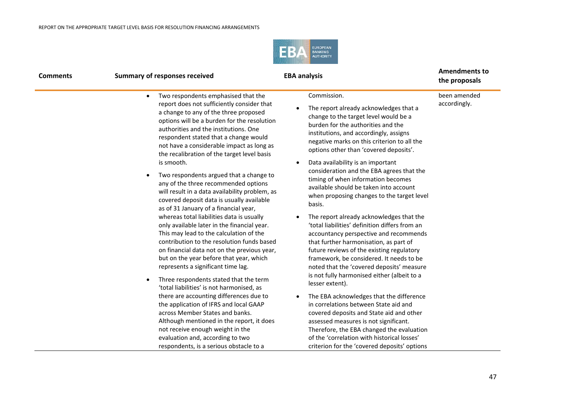

| <b>Comments</b> | <b>Summary of responses received</b>                                                                                                                                                                                                                                                                              | <b>EBA analysis</b>                                                                                                                                                                                                                                                                                                  | <b>Amendments to</b><br>the proposals |
|-----------------|-------------------------------------------------------------------------------------------------------------------------------------------------------------------------------------------------------------------------------------------------------------------------------------------------------------------|----------------------------------------------------------------------------------------------------------------------------------------------------------------------------------------------------------------------------------------------------------------------------------------------------------------------|---------------------------------------|
|                 | Two respondents emphasised that the<br>$\bullet$                                                                                                                                                                                                                                                                  | Commission.                                                                                                                                                                                                                                                                                                          | been amended                          |
|                 | report does not sufficiently consider that<br>a change to any of the three proposed<br>options will be a burden for the resolution<br>authorities and the institutions. One<br>respondent stated that a change would<br>not have a considerable impact as long as<br>the recalibration of the target level basis  | The report already acknowledges that a<br>change to the target level would be a<br>burden for the authorities and the<br>institutions, and accordingly, assigns<br>negative marks on this criterion to all the<br>options other than 'covered deposits'.                                                             | accordingly.                          |
|                 | is smooth.                                                                                                                                                                                                                                                                                                        | Data availability is an important                                                                                                                                                                                                                                                                                    |                                       |
|                 | Two respondents argued that a change to<br>any of the three recommended options<br>will result in a data availability problem, as<br>covered deposit data is usually available<br>as of 31 January of a financial year,                                                                                           | consideration and the EBA agrees that the<br>timing of when information becomes<br>available should be taken into account<br>when proposing changes to the target level<br>basis.                                                                                                                                    |                                       |
|                 | whereas total liabilities data is usually<br>only available later in the financial year.<br>This may lead to the calculation of the<br>contribution to the resolution funds based<br>on financial data not on the previous year,<br>but on the year before that year, which<br>represents a significant time lag. | The report already acknowledges that the<br>'total liabilities' definition differs from an<br>accountancy perspective and recommends<br>that further harmonisation, as part of<br>future reviews of the existing regulatory<br>framework, be considered. It needs to be<br>noted that the 'covered deposits' measure |                                       |
|                 | Three respondents stated that the term<br>٠<br>'total liabilities' is not harmonised, as                                                                                                                                                                                                                          | is not fully harmonised either (albeit to a<br>lesser extent).                                                                                                                                                                                                                                                       |                                       |
|                 | there are accounting differences due to                                                                                                                                                                                                                                                                           | The EBA acknowledges that the difference                                                                                                                                                                                                                                                                             |                                       |
|                 | the application of IFRS and local GAAP<br>across Member States and banks.<br>Although mentioned in the report, it does                                                                                                                                                                                            | in correlations between State aid and<br>covered deposits and State aid and other<br>assessed measures is not significant.                                                                                                                                                                                           |                                       |
|                 | not receive enough weight in the                                                                                                                                                                                                                                                                                  | Therefore, the EBA changed the evaluation                                                                                                                                                                                                                                                                            |                                       |
|                 | evaluation and, according to two<br>respondents, is a serious obstacle to a                                                                                                                                                                                                                                       | of the 'correlation with historical losses'<br>criterion for the 'covered deposits' options                                                                                                                                                                                                                          |                                       |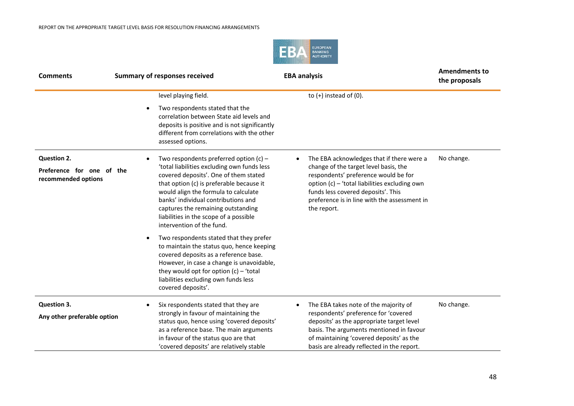

| <b>Comments</b>                                  | <b>Summary of responses received</b>                                                                                                                                                                                                                                                                                         | <b>EBA analysis</b>                                                                                                                                                                                                                 | <b>Amendments to</b><br>the proposals |
|--------------------------------------------------|------------------------------------------------------------------------------------------------------------------------------------------------------------------------------------------------------------------------------------------------------------------------------------------------------------------------------|-------------------------------------------------------------------------------------------------------------------------------------------------------------------------------------------------------------------------------------|---------------------------------------|
|                                                  | level playing field.                                                                                                                                                                                                                                                                                                         | to $(+)$ instead of $(0)$ .                                                                                                                                                                                                         |                                       |
|                                                  | Two respondents stated that the<br>correlation between State aid levels and<br>deposits is positive and is not significantly<br>different from correlations with the other<br>assessed options.                                                                                                                              |                                                                                                                                                                                                                                     |                                       |
| Question 2.                                      | Two respondents preferred option $(c)$ –                                                                                                                                                                                                                                                                                     | The EBA acknowledges that if there were a                                                                                                                                                                                           | No change.                            |
| Preference for one of the<br>recommended options | 'total liabilities excluding own funds less<br>covered deposits'. One of them stated<br>that option (c) is preferable because it<br>would align the formula to calculate<br>banks' individual contributions and<br>captures the remaining outstanding<br>liabilities in the scope of a possible<br>intervention of the fund. | change of the target level basis, the<br>respondents' preference would be for<br>option (c) - 'total liabilities excluding own<br>funds less covered deposits'. This<br>preference is in line with the assessment in<br>the report. |                                       |
|                                                  | Two respondents stated that they prefer<br>to maintain the status quo, hence keeping<br>covered deposits as a reference base.<br>However, in case a change is unavoidable,<br>they would opt for option $(c)$ – 'total<br>liabilities excluding own funds less<br>covered deposits'.                                         |                                                                                                                                                                                                                                     |                                       |
| <b>Question 3.</b>                               | Six respondents stated that they are                                                                                                                                                                                                                                                                                         | The EBA takes note of the majority of<br>$\bullet$                                                                                                                                                                                  | No change.                            |
| Any other preferable option                      | strongly in favour of maintaining the<br>status quo, hence using 'covered deposits'<br>as a reference base. The main arguments<br>in favour of the status quo are that<br>'covered deposits' are relatively stable                                                                                                           | respondents' preference for 'covered<br>deposits' as the appropriate target level<br>basis. The arguments mentioned in favour<br>of maintaining 'covered deposits' as the<br>basis are already reflected in the report.             |                                       |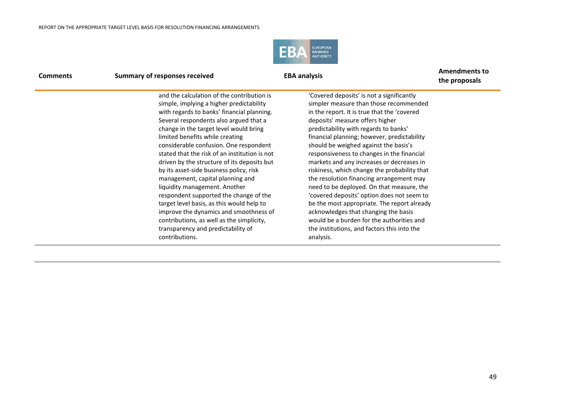

| <b>Comments</b> | <b>Summary of responses received</b>                                                                                                                                                                                                                                                                                                                                                                                                                                                                                                                                                                                                                                                                | <b>EBA analysis</b>                                                                                                                                                                                                                                                                                                                                                                                                                                                                                                                                                                                                                                                                                                          | <b>Amendments to</b><br>the proposals |
|-----------------|-----------------------------------------------------------------------------------------------------------------------------------------------------------------------------------------------------------------------------------------------------------------------------------------------------------------------------------------------------------------------------------------------------------------------------------------------------------------------------------------------------------------------------------------------------------------------------------------------------------------------------------------------------------------------------------------------------|------------------------------------------------------------------------------------------------------------------------------------------------------------------------------------------------------------------------------------------------------------------------------------------------------------------------------------------------------------------------------------------------------------------------------------------------------------------------------------------------------------------------------------------------------------------------------------------------------------------------------------------------------------------------------------------------------------------------------|---------------------------------------|
|                 | and the calculation of the contribution is<br>simple, implying a higher predictability<br>with regards to banks' financial planning.<br>Several respondents also argued that a<br>change in the target level would bring<br>limited benefits while creating<br>considerable confusion. One respondent<br>stated that the risk of an institution is not<br>driven by the structure of its deposits but<br>by its asset-side business policy, risk<br>management, capital planning and<br>liquidity management. Another<br>respondent supported the change of the<br>target level basis, as this would help to<br>improve the dynamics and smoothness of<br>contributions, as well as the simplicity, | 'Covered deposits' is not a significantly<br>simpler measure than those recommended<br>in the report. It is true that the 'covered<br>deposits' measure offers higher<br>predictability with regards to banks'<br>financial planning; however, predictability<br>should be weighed against the basis's<br>responsiveness to changes in the financial<br>markets and any increases or decreases in<br>riskiness, which change the probability that<br>the resolution financing arrangement may<br>need to be deployed. On that measure, the<br>'covered deposits' option does not seem to<br>be the most appropriate. The report already<br>acknowledges that changing the basis<br>would be a burden for the authorities and |                                       |
|                 | transparency and predictability of<br>contributions.                                                                                                                                                                                                                                                                                                                                                                                                                                                                                                                                                                                                                                                | the institutions, and factors this into the<br>analysis.                                                                                                                                                                                                                                                                                                                                                                                                                                                                                                                                                                                                                                                                     |                                       |